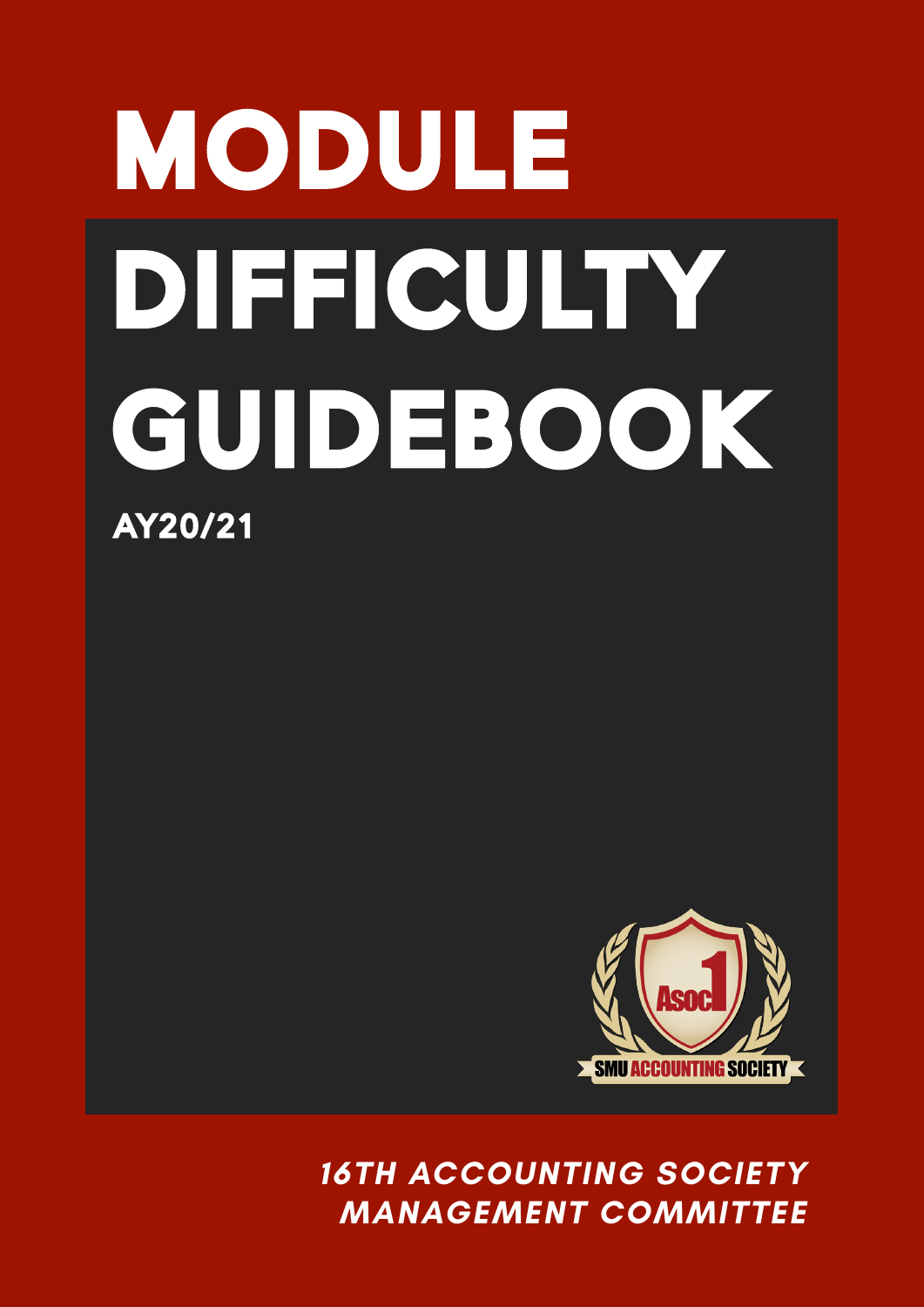# MODULE DIFFICULTY GUIDEBOOK MODULE DIHEICULTY GUIDEBOOK AY20/21



**16TH ACCOUNTING SOCIETY 16TH ACCOUNTING SOCIETY MANAGEMENT COMMITTEE MANAGEMENT COMMITTEE**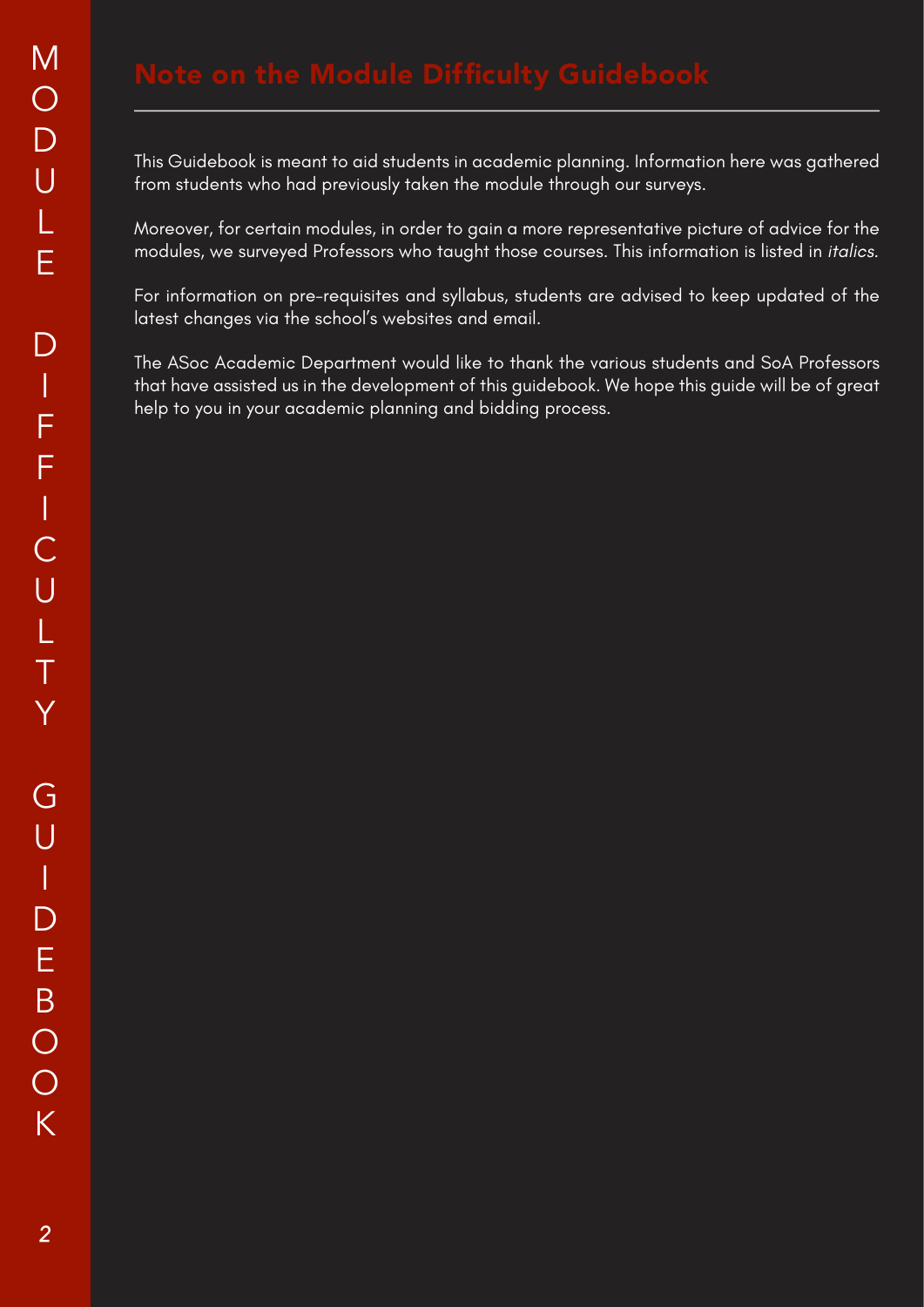This Guidebook is meant to aid students in academic planning. Information here was gathered from students who had previously taken the module through our surveys.

Moreover, for certain modules, in order to gain a more representative picture of advice for the modules, we surveyed Professors who taught those courses. This information is listed in italics.

For information on pre-requisites and syllabus, students are advised to keep updated of the latest changes via the school's websites and email.

The ASoc Academic Department would like to thank the various students and SoA Professors that have assisted us in the development of this guidebook. We hope this guide will be of great help to you in your academic planning and bidding process.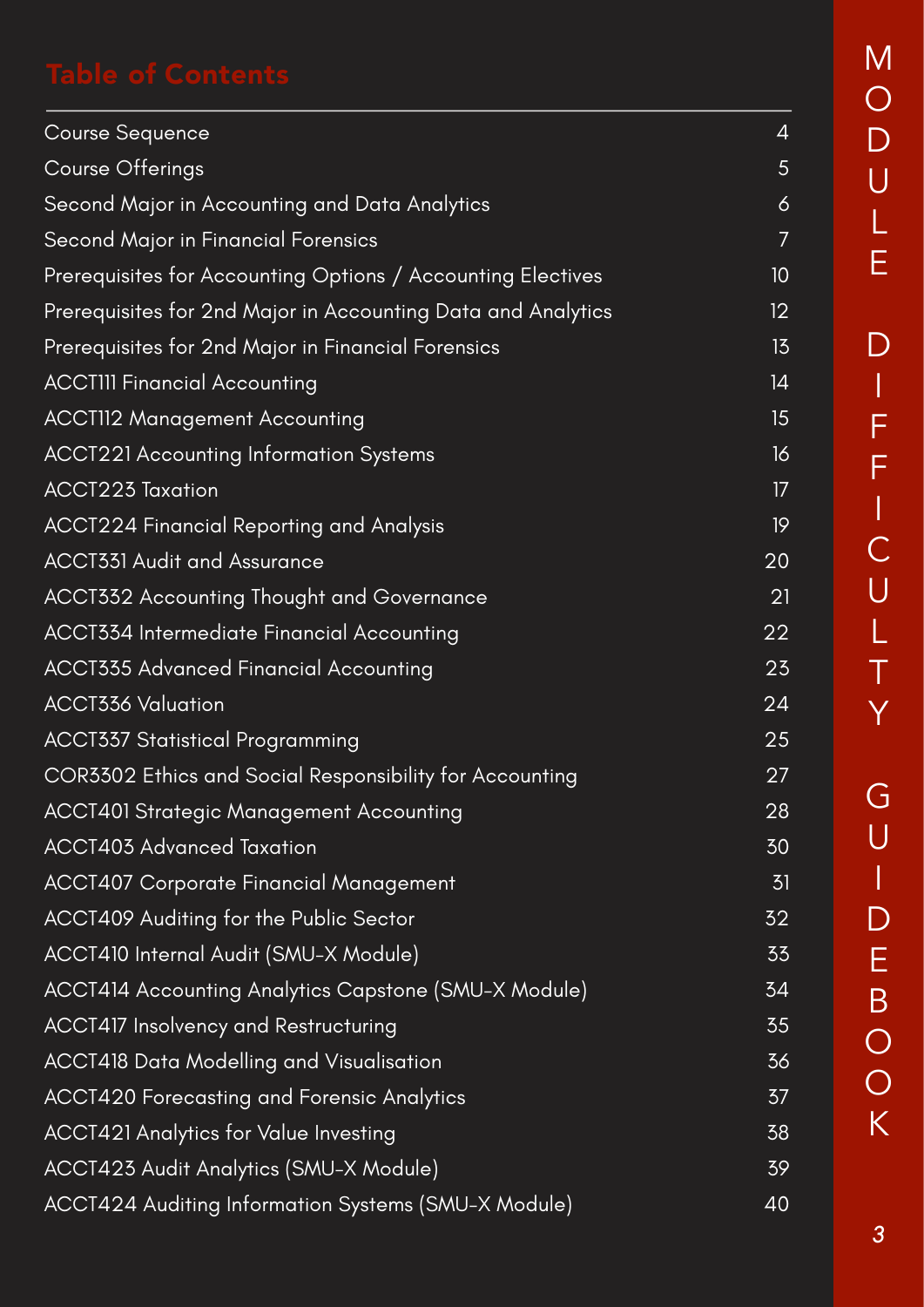| <b>Course Sequence</b>                                       | $\overline{4}$ |
|--------------------------------------------------------------|----------------|
| <b>Course Offerings</b>                                      | 5              |
| Second Major in Accounting and Data Analytics                | $\ddot{\circ}$ |
| Second Major in Financial Forensics                          | 7              |
| Prerequisites for Accounting Options / Accounting Electives  | 10             |
| Prerequisites for 2nd Major in Accounting Data and Analytics | 12             |
| Prerequisites for 2nd Major in Financial Forensics           | 15             |
| <b>ACCTIII Financial Accounting</b>                          | 4              |
| <b>ACCTII2 Management Accounting</b>                         | 15             |
| <b>ACCT221 Accounting Information Systems</b>                | 16             |
| <b>ACCT223 Taxation</b>                                      | 17             |
| ACCT224 Financial Reporting and Analysis                     | 19             |
| <b>ACCT331 Audit and Assurance</b>                           | 20             |
| ACCT332 Accounting Thought and Governance                    | 21             |
| ACCT334 Intermediate Financial Accounting                    | 22             |
| <b>ACCT335 Advanced Financial Accounting</b>                 | 23             |
| <b>ACCT336 Valuation</b>                                     | 24             |
| <b>ACCT337 Statistical Programming</b>                       | 25             |
| COR3302 Ethics and Social Responsibility for Accounting      | 27             |
| <b>ACCT401 Strategic Management Accounting</b>               | 28             |
| <b>ACCT403 Advanced Taxation</b>                             | 30             |
| <b>ACCT407 Corporate Financial Management</b>                | 31             |
| ACCT409 Auditing for the Public Sector                       | 32             |
| ACCT410 Internal Audit (SMU-X Module)                        | 33             |
| ACCT414 Accounting Analytics Capstone (SMU-X Module)         | 34             |
| <b>ACCT417 Insolvency and Restructuring</b>                  | 35             |
| ACCT418 Data Modelling and Visualisation                     | 36             |
| <b>ACCT420 Forecasting and Forensic Analytics</b>            | 37             |
| <b>ACCT421 Analytics for Value Investing</b>                 | 38             |
| ACCT423 Audit Analytics (SMU-X Module)                       | 39             |
| ACCT424 Auditing Information Systems (SMU-X Module)          | 40             |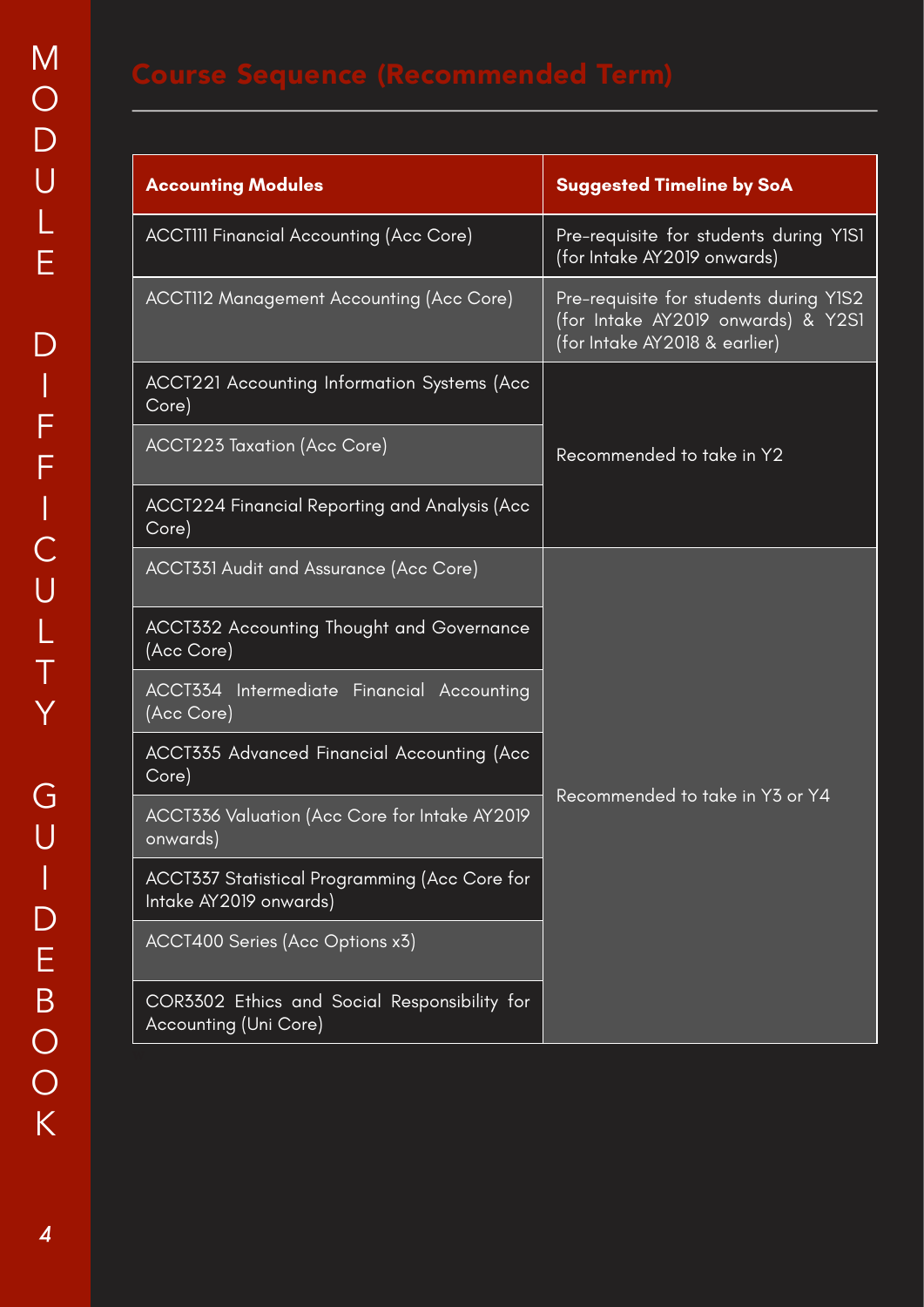| <b>Accounting Modules</b>                                               | <b>Suggested Timeline by SoA</b>                                                                              |  |  |
|-------------------------------------------------------------------------|---------------------------------------------------------------------------------------------------------------|--|--|
| <b>ACCTIII Financial Accounting (Acc Core)</b>                          | Pre-requisite for students during YISI<br>(for Intake AY2019 onwards)                                         |  |  |
| ACCT112 Management Accounting (Acc Core)                                | Pre-requisite for students during Y1S2<br>(for Intake AY2019 onwards) & Y2S1<br>(for Intake AY2018 & earlier) |  |  |
| ACCT221 Accounting Information Systems (Acc<br>Core)                    |                                                                                                               |  |  |
| ACCT223 Taxation (Acc Core)                                             | Recommended to take in Y2                                                                                     |  |  |
| ACCT224 Financial Reporting and Analysis (Acc<br>Core)                  |                                                                                                               |  |  |
| ACCT331 Audit and Assurance (Acc Core)                                  |                                                                                                               |  |  |
| <b>ACCT332 Accounting Thought and Governance</b><br>(Acc Core)          |                                                                                                               |  |  |
| <b>ACCT334</b> Intermediate Financial Accounting<br>(Acc Core)          |                                                                                                               |  |  |
| ACCT335 Advanced Financial Accounting (Acc<br>Core)                     |                                                                                                               |  |  |
| ACCT336 Valuation (Acc Core for Intake AY2019<br>onwards)               | Recommended to take in Y3 or Y4                                                                               |  |  |
| ACCT337 Statistical Programming (Acc Core for<br>Intake AY2019 onwards) |                                                                                                               |  |  |
| ACCT400 Series (Acc Options x3)                                         |                                                                                                               |  |  |
| COR3302 Ethics and Social Responsibility for<br>Accounting (Uni Core)   |                                                                                                               |  |  |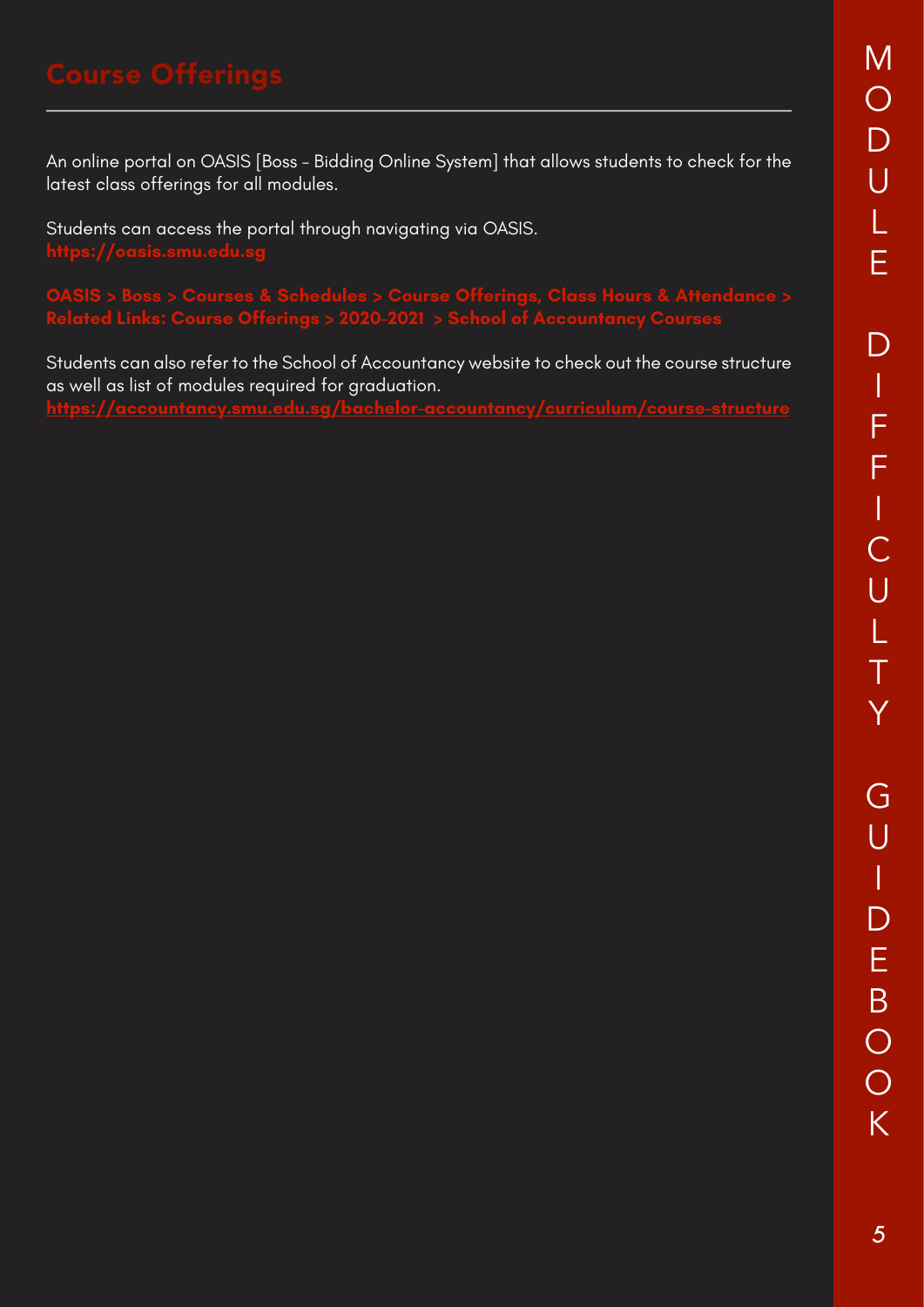An online portal on OASIS [Boss - Bidding Online System] that allows students to check for the latest class offerings for all modules.

Students can access the portal through navigating via OASIS. **https://oasis.smu.edu.sg**

**OASIS > Boss > Courses & Schedules > Course Offerings, Class Hours & Attendance > Related Links: Course Offerings > 2020-2021 > School of Accountancy Courses**

Students can also refer to the School of Accountancy website to check out the course structure as well as list of modules required for graduation. **https://accountancy.smu.edu.sg/bachelor-accountancy/curriculum/course-structure**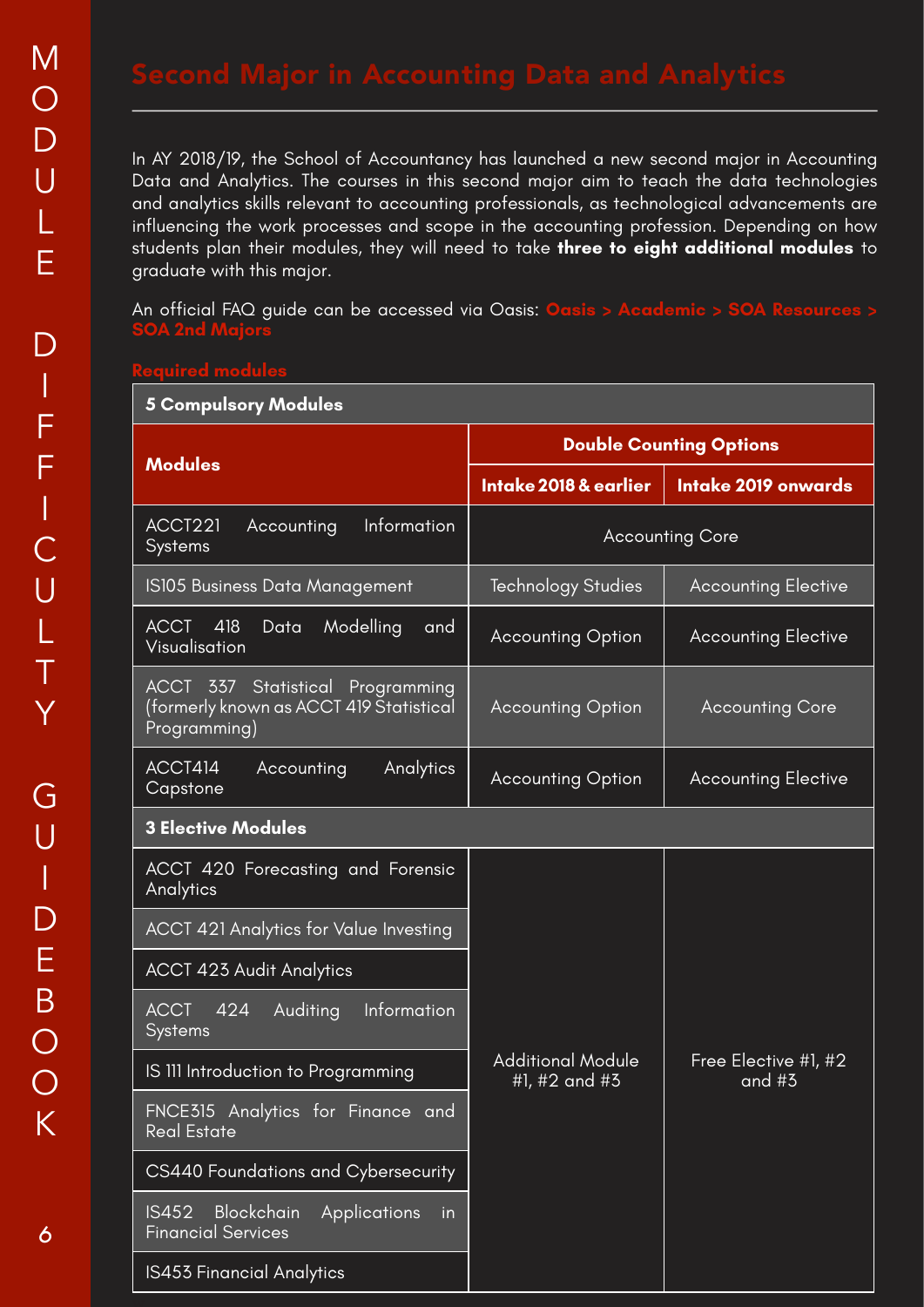In AY 2018/19, the School of Accountancy has launched a new second major in Accounting Data and Analytics. The courses in this second major aim to teach the data technologies and analytics skills relevant to accounting professionals, as technological advancements are influencing the work processes and scope in the accounting profession. Depending on how students plan their modules, they will need to take **three to eight additional modules** to graduate with this major.

An official FAQ guide can be accessed via Oasis: **Oasis > Academic SOA 2nd Majors**

| <b>5 Compulsory Modules</b>                                                                        |                                           |                                  |  |  |  |
|----------------------------------------------------------------------------------------------------|-------------------------------------------|----------------------------------|--|--|--|
|                                                                                                    | <b>Double Counting Options</b>            |                                  |  |  |  |
| <b>Modules</b>                                                                                     | Intake 2018 & earlier                     | Intake 2019 onwards              |  |  |  |
| Information<br>ACCT221<br>Accounting<br>Systems                                                    | <b>Accounting Core</b>                    |                                  |  |  |  |
| IS105 Business Data Management                                                                     | <b>Technology Studies</b>                 | <b>Accounting Elective</b>       |  |  |  |
| $ACCT$ 418<br>Data<br>Modelling<br>and<br>Visualisation                                            | <b>Accounting Option</b>                  | <b>Accounting Elective</b>       |  |  |  |
| <b>ACCT 337 Statistical Programming</b><br>(formerly known as ACCT 419 Statistical<br>Programming) | <b>Accounting Option</b>                  | <b>Accounting Core</b>           |  |  |  |
| ACCT414<br>Analytics<br>Accounting<br>Capstone                                                     | <b>Accounting Option</b>                  | <b>Accounting Elective</b>       |  |  |  |
| <b>3 Elective Modules</b>                                                                          |                                           |                                  |  |  |  |
| ACCT 420 Forecasting and Forensic<br>Analytics                                                     |                                           |                                  |  |  |  |
| ACCT 421 Analytics for Value Investing                                                             |                                           |                                  |  |  |  |
| <b>ACCT 423 Audit Analytics</b>                                                                    |                                           |                                  |  |  |  |
| Auditing<br>Information<br><b>ACCT</b><br>424<br>Systems                                           |                                           |                                  |  |  |  |
| IS III Introduction to Programming                                                                 | <b>Additional Module</b><br>#1, #2 and #3 | Free Elective #1, #2<br>and $#3$ |  |  |  |
| FNCE315 Analytics for Finance and<br><b>Real Estate</b>                                            |                                           |                                  |  |  |  |
| CS440 Foundations and Cybersecurity                                                                |                                           |                                  |  |  |  |
| <b>IS452</b><br><b>Blockchain</b><br>Applications<br>in<br><b>Financial Services</b>               |                                           |                                  |  |  |  |
| IS453 Financial Analytics                                                                          |                                           |                                  |  |  |  |

*6*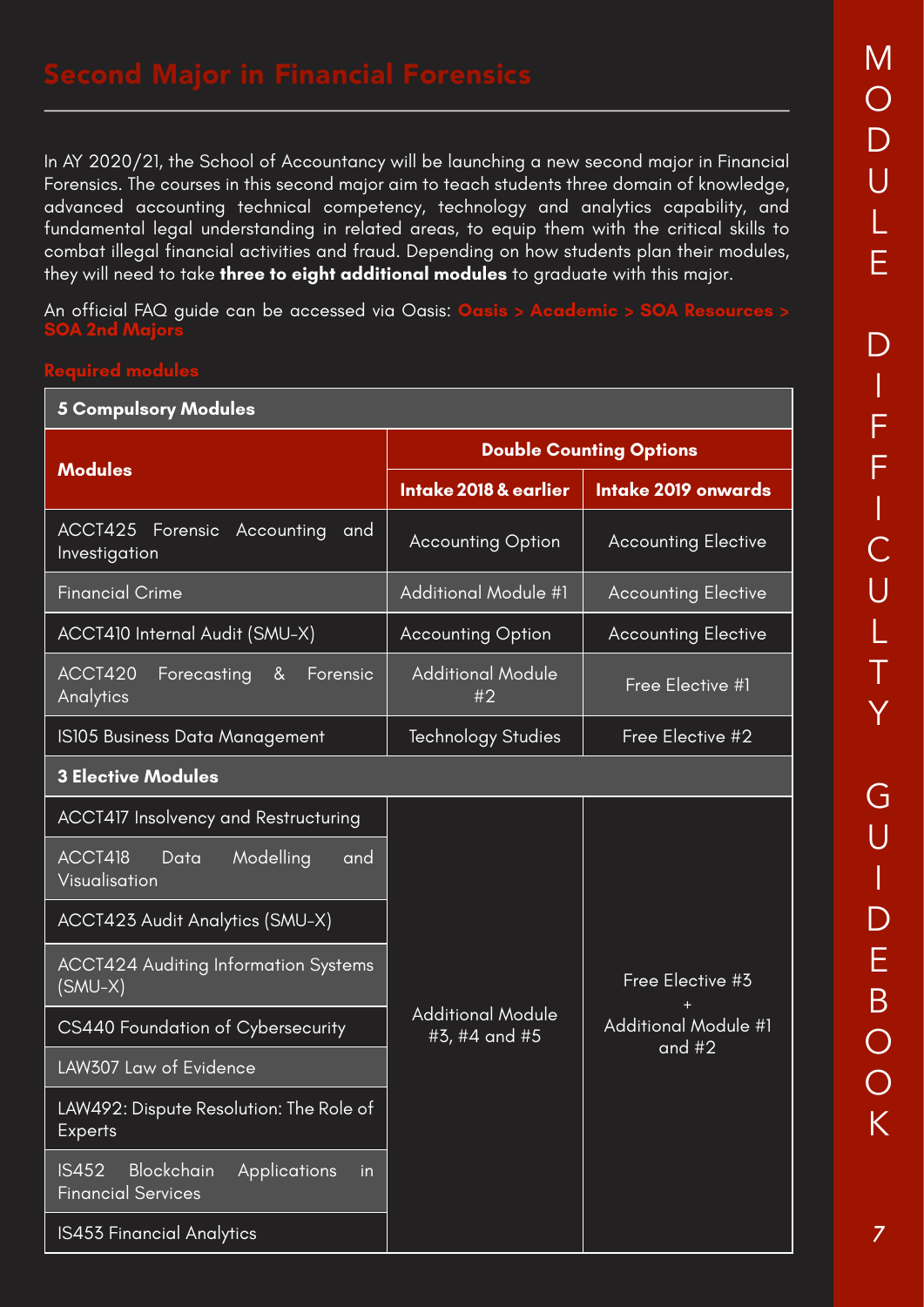*7*

In AY 2020/21, the School of Accountancy will be launching a new second major in Financial Forensics. The courses in this second major aim to teach students three domain of knowledge, advanced accounting technical competency, technology and analytics capability, and fundamental legal understanding in related areas, to equip them with the critical skills to combat illegal financial activities and fraud. Depending on how students plan their modules, they will need to take **three to eight additional modules** to graduate with this major.

An official FAQ guide can be accessed via Oasis: **Oasis > Academic > SOA Resources > SOA 2nd Majors**

| <b>5 Compulsory Modules</b>                                                   |                                           |                                         |  |  |  |  |
|-------------------------------------------------------------------------------|-------------------------------------------|-----------------------------------------|--|--|--|--|
|                                                                               | <b>Double Counting Options</b>            |                                         |  |  |  |  |
| <b>Modules</b>                                                                | Intake 2018 & earlier                     | Intake 2019 onwards                     |  |  |  |  |
| ACCT425<br>Forensic<br>Accounting<br>and<br>Investigation                     | <b>Accounting Option</b>                  | <b>Accounting Elective</b>              |  |  |  |  |
| <b>Financial Crime</b>                                                        | <b>Additional Module #1</b>               | <b>Accounting Elective</b>              |  |  |  |  |
| ACCT410 Internal Audit (SMU-X)                                                | <b>Accounting Option</b>                  | <b>Accounting Elective</b>              |  |  |  |  |
| ACCT420<br>8 <sub>k</sub><br>Forecasting<br>Forensic<br>Analytics             | <b>Additional Module</b><br>#2            | Free Elective #1                        |  |  |  |  |
| IS105 Business Data Management                                                | Technology Studies                        | Free Elective #2                        |  |  |  |  |
| <b>3 Elective Modules</b>                                                     |                                           |                                         |  |  |  |  |
| ACCT417 Insolvency and Restructuring                                          |                                           |                                         |  |  |  |  |
| ACCT418<br>Modelling<br>Data<br>and<br>Visualisation                          |                                           |                                         |  |  |  |  |
| ACCT423 Audit Analytics (SMU-X)                                               |                                           |                                         |  |  |  |  |
| <b>ACCT424 Auditing Information Systems</b><br>$(SMU-X)$                      |                                           | Free Elective #3                        |  |  |  |  |
| CS440 Foundation of Cybersecurity                                             | <b>Additional Module</b><br>#3, #4 and #5 | <b>Additional Module #1</b><br>and $#2$ |  |  |  |  |
| LAW307 Law of Evidence                                                        |                                           |                                         |  |  |  |  |
| LAW492: Dispute Resolution: The Role of<br><b>Experts</b>                     |                                           |                                         |  |  |  |  |
| Blockchain<br><b>IS452</b><br>Applications<br>in<br><b>Financial Services</b> |                                           |                                         |  |  |  |  |
| IS453 Financial Analytics                                                     |                                           |                                         |  |  |  |  |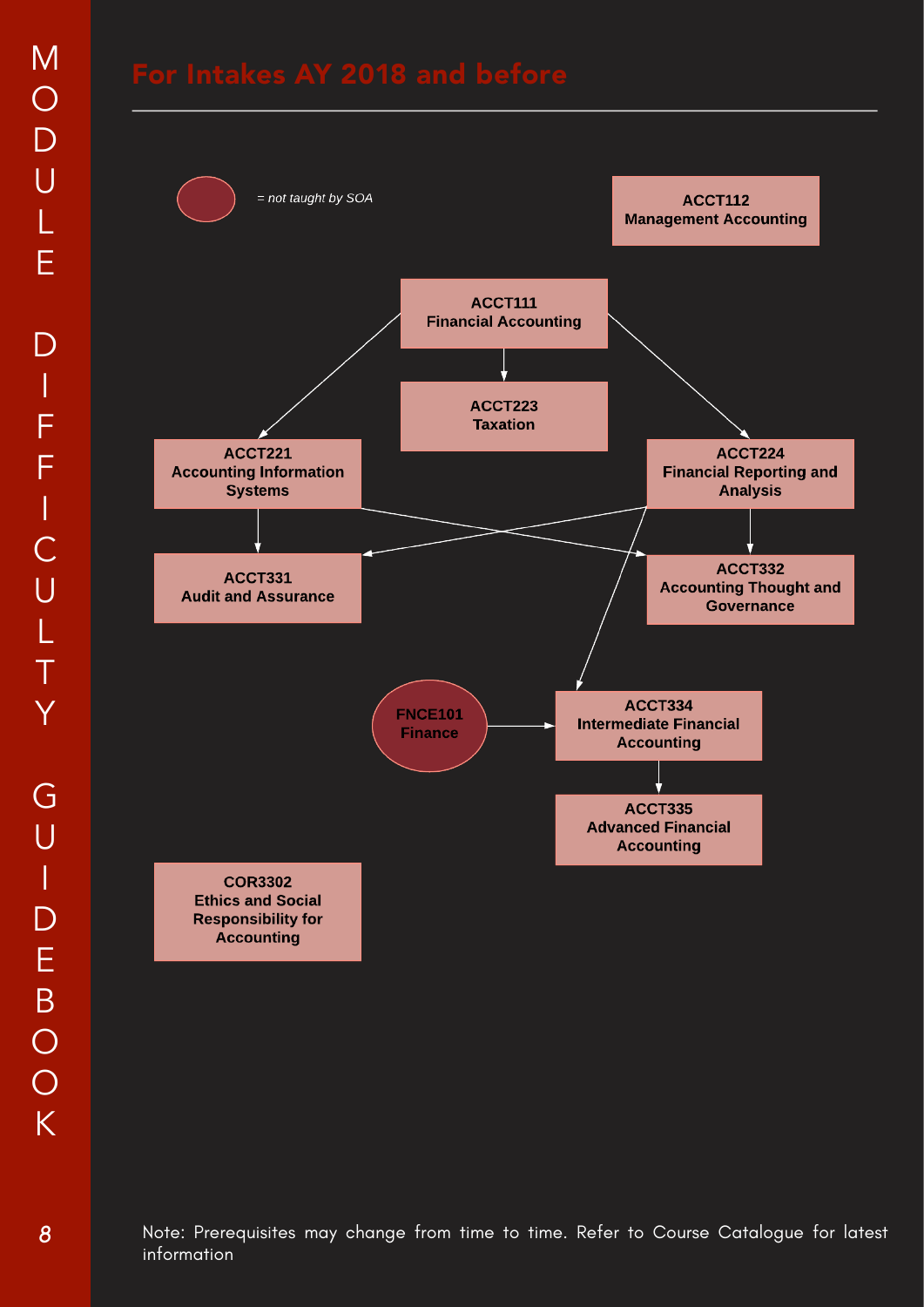



Note: Prerequisites may change from time to time. Refer to Course Catalogue for latest information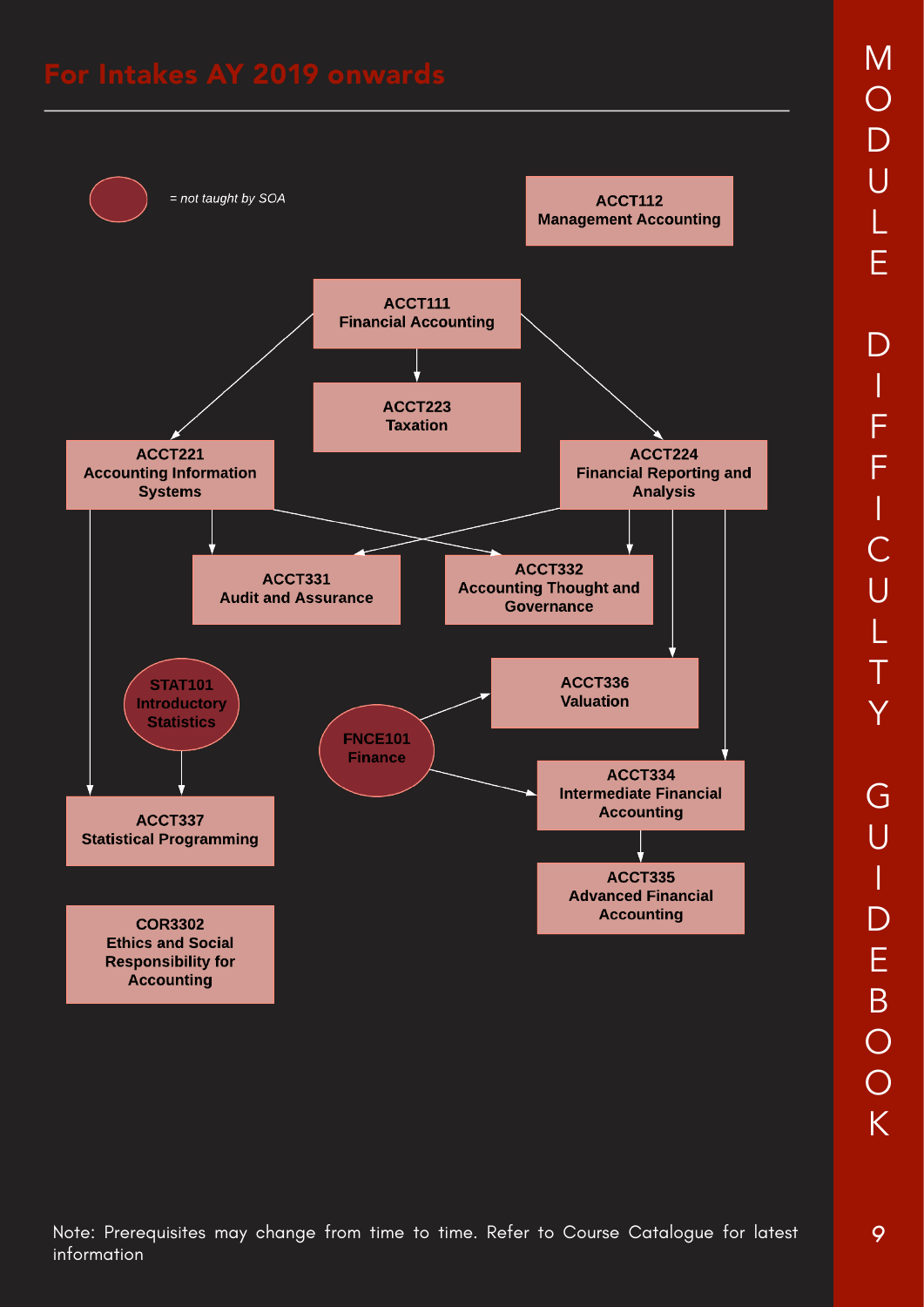

O D U L E D I F F I C U L T Y G U I  $\overline{D}$ E B O O K

M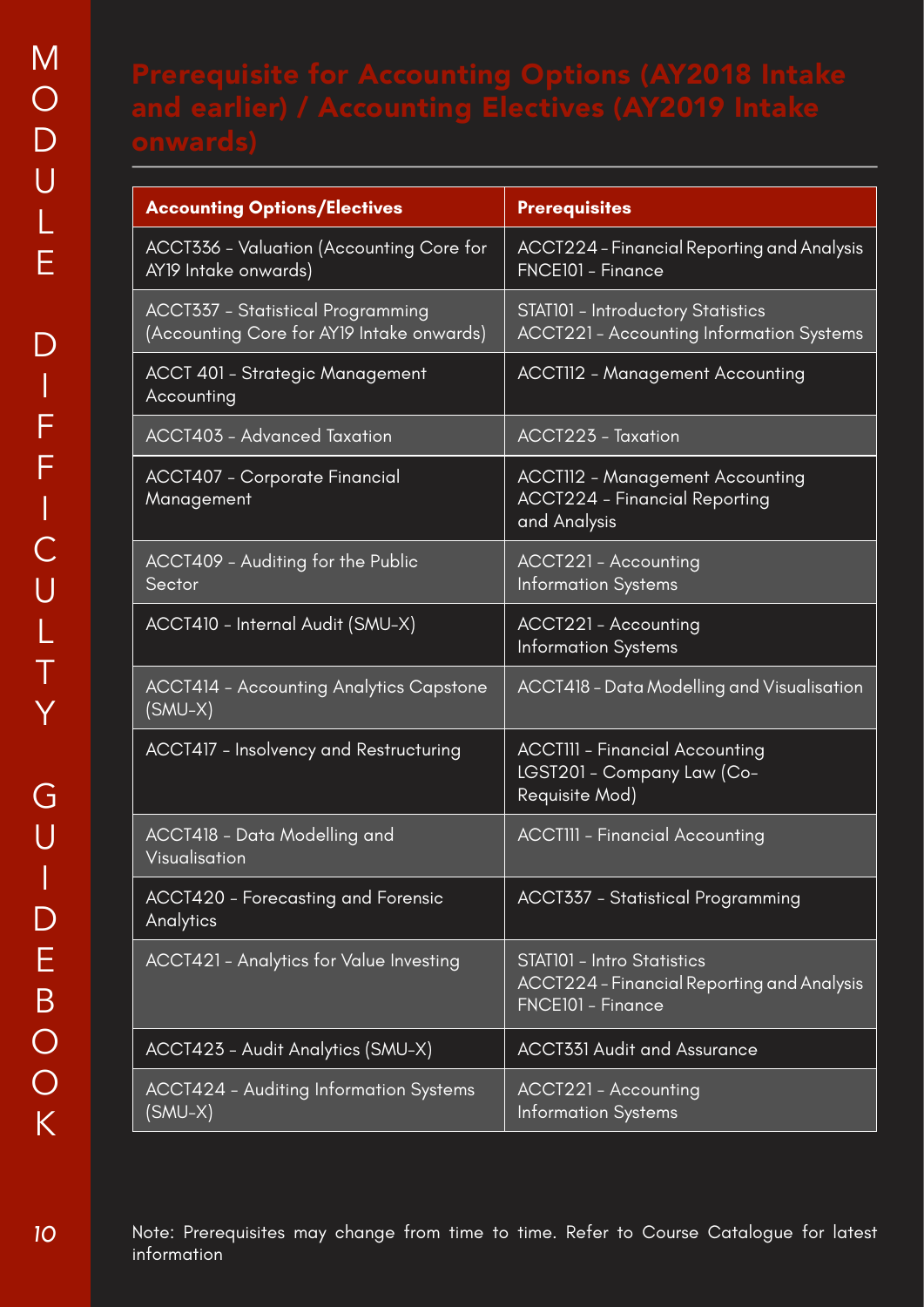| <b>Accounting Options/Electives</b>                                                   | <b>Prerequisites</b>                                                                           |
|---------------------------------------------------------------------------------------|------------------------------------------------------------------------------------------------|
| ACCT336 - Valuation (Accounting Core for<br>AY19 Intake onwards)                      | ACCT224 – Financial Reporting and Analysis<br>FNCE101 - Finance                                |
| <b>ACCT337 - Statistical Programming</b><br>(Accounting Core for AY19 Intake onwards) | STAT101 - Introductory Statistics<br><b>ACCT221 - Accounting Information Systems</b>           |
| ACCT 401 - Strategic Management<br>Accounting                                         | <b>ACCTII2 - Management Accounting</b>                                                         |
| ACCT403 - Advanced Taxation                                                           | <b>ACCT223 - Taxation</b>                                                                      |
| <b>ACCT407 - Corporate Financial</b><br>Management                                    | <b>ACCTII2 - Management Accounting</b><br><b>ACCT224 - Financial Reporting</b><br>and Analysis |
| ACCT409 - Auditing for the Public<br>Sector                                           | ACCT221 - Accounting<br><b>Information Systems</b>                                             |
| ACCT410 - Internal Audit (SMU-X)                                                      | <b>ACCT221 - Accounting</b><br><b>Information Systems</b>                                      |
| <b>ACCT414 - Accounting Analytics Capstone</b><br>$(SMU-X)$                           | ACCT418 - Data Modelling and Visualisation                                                     |
| <b>ACCT417 - Insolvency and Restructuring</b>                                         | <b>ACCTIII - Financial Accounting</b><br>LGST201 - Company Law (Co-<br>Requisite Mod)          |
| ACCT418 - Data Modelling and<br>Visualisation                                         | <b>ACCTIII - Financial Accounting</b>                                                          |
| <b>ACCT420 - Forecasting and Forensic</b><br>Analytics                                | <b>ACCT337 - Statistical Programming</b>                                                       |
| <b>ACCT421 - Analytics for Value Investing</b>                                        | STATI01 - Intro Statistics<br>ACCT224 – Financial Reporting and Analysis<br>FNCE101 - Finance  |
| ACCT423 - Audit Analytics (SMU-X)                                                     | <b>ACCT331 Audit and Assurance</b>                                                             |
| ACCT424 - Auditing Information Systems<br>(SMU-X)                                     | ACCT221 - Accounting<br><b>Information Systems</b>                                             |

Note: Prerequisites may change from time to time. Refer to Course Catalogue for latest information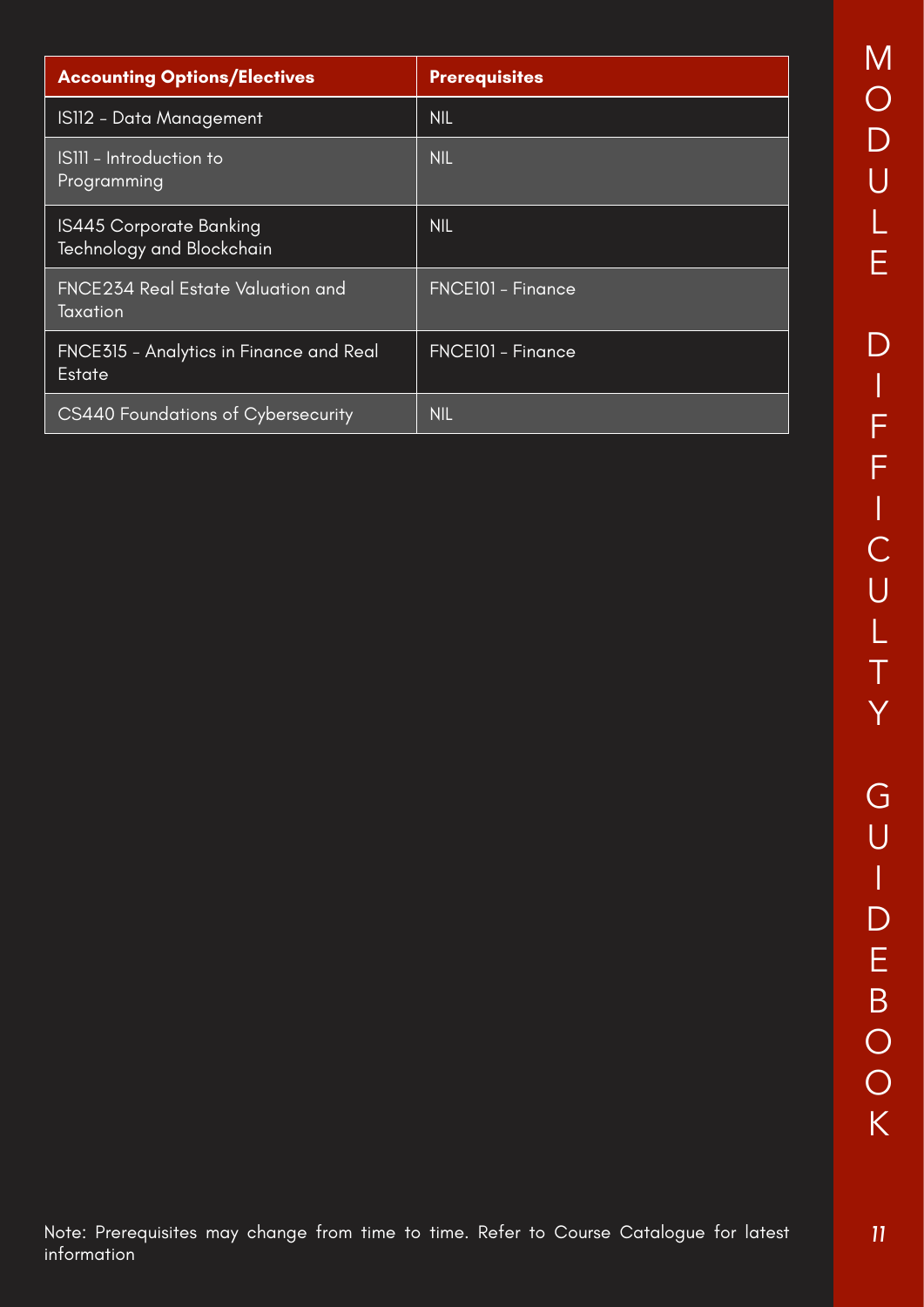| <b>Accounting Options/Electives</b>                         | <b>Prerequisites</b> |
|-------------------------------------------------------------|----------------------|
| <u> IS112 -</u> Data Management                             | <b>NIL</b>           |
| ISIII - Introduction to<br>Programming                      | <b>NIL</b>           |
| <b>IS445 Corporate Banking</b><br>Technology and Blockchain | <b>NIL</b>           |
| FNCE234 Real Estate Valuation and<br>Taxation               | FNCE101 - Finance    |
| <b>FNCE315 - Analytics in Finance and Real</b><br>Estate    | FNCE101 - Finance    |
| CS440 Foundations of Cybersecurity                          | <b>NIL</b>           |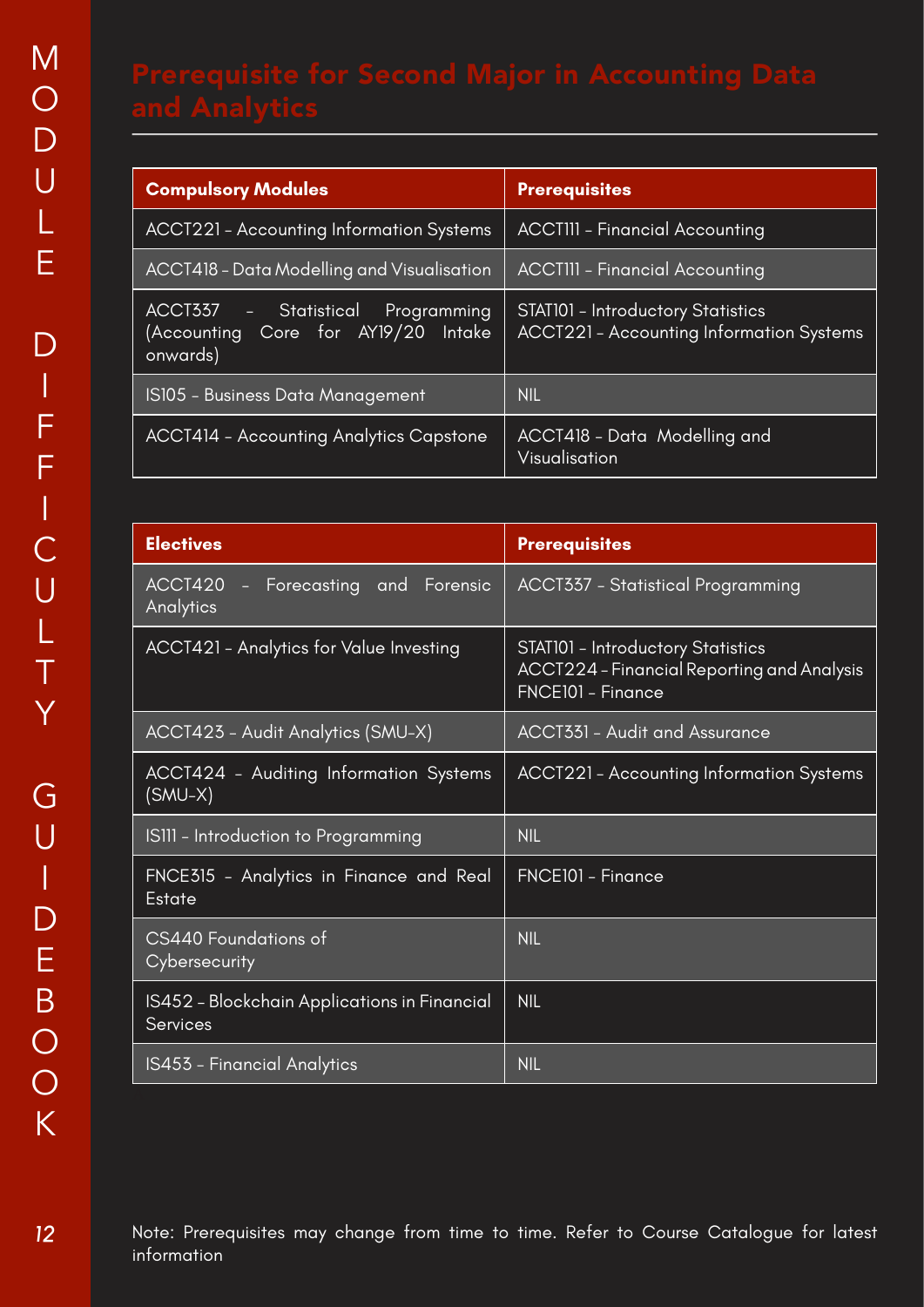| <b>Compulsory Modules</b>                                                                            | <b>Prerequisites</b>                                                                        |
|------------------------------------------------------------------------------------------------------|---------------------------------------------------------------------------------------------|
| <b>ACCT221 - Accounting Information Systems</b>                                                      | <b>ACCTIII - Financial Accounting</b>                                                       |
| ACCT418 - Data Modelling and Visualisation                                                           | <b>ACCTIII - Financial Accounting</b>                                                       |
| ACCT337<br>Statistical<br>Programming<br>$\equiv$<br>(Accounting Core for AY19/20 Intake<br>onwards) | <b>STAT101 - Introductory Statistics</b><br><b>ACCT221 - Accounting Information Systems</b> |
| IS105 - Business Data Management                                                                     | <b>NIL</b>                                                                                  |
| <b>ACCT414 - Accounting Analytics Capstone</b>                                                       | ACCT418 - Data Modelling and<br>Visualisation                                               |

| <b>Electives</b>                                                | <b>Prerequisites</b>                                                                                               |
|-----------------------------------------------------------------|--------------------------------------------------------------------------------------------------------------------|
| ACCT420<br>- Forecasting and Forensic<br>Analytics              | <b>ACCT337 - Statistical Programming</b>                                                                           |
| ACCT421 - Analytics for Value Investing                         | <b>STAT101 - Introductory Statistics</b><br><b>ACCT224</b> – Financial Reporting and Analysis<br>FNCE101 - Finance |
| ACCT423 - Audit Analytics (SMU-X)                               | <b>ACCT331 - Audit and Assurance</b>                                                                               |
| ACCT424 - Auditing Information Systems<br>(SMU-X)               | <b>ACCT221 - Accounting Information Systems</b>                                                                    |
| ISIII – Introduction to Programming                             | <b>NIL</b>                                                                                                         |
| FNCE315 - Analytics in Finance and Real<br><b>Estate</b>        | FNCE101 - Finance                                                                                                  |
| CS440 Foundations of<br>Cybersecurity                           | <b>NIL</b>                                                                                                         |
| IS452 - Blockchain Applications in Financial<br><b>Services</b> | <b>NIL</b>                                                                                                         |
| IS453 - Financial Analytics                                     | <b>NIL</b>                                                                                                         |

Note: Prerequisites may change from time to time. Refer to Course Catalogue for latest information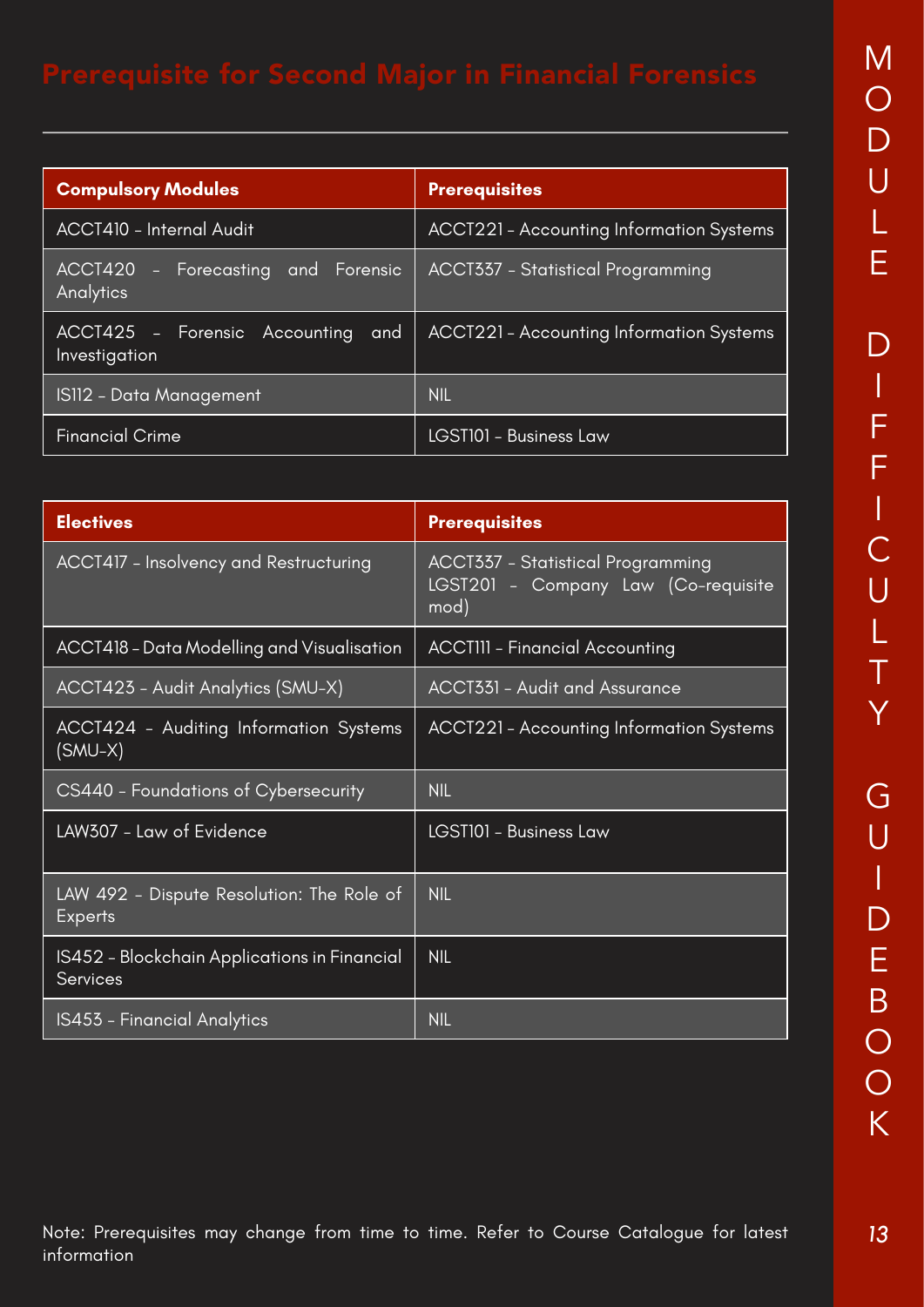| <b>Compulsory Modules</b>                             | <b>Prerequisites</b>                            |
|-------------------------------------------------------|-------------------------------------------------|
| ACCT410 - Internal Audit                              | ACCT221 - Accounting Information Systems        |
| ACCT420<br>- Forecasting and Forensic<br>Analytics    | <b>ACCT337 - Statistical Programming</b>        |
| ACCT425 - Forensic Accounting<br>and<br>Investigation | <b>ACCT221 - Accounting Information Systems</b> |
| <b>IS112 - Data Management</b>                        | <b>NIL</b>                                      |
| <b>Financial Crime</b>                                | LGST101 - Business Law                          |

| <b>Electives</b>                                                | <b>Prerequisites</b>                                                             |  |
|-----------------------------------------------------------------|----------------------------------------------------------------------------------|--|
| ACCT417 - Insolvency and Restructuring                          | ACCT337 - Statistical Programming<br>LGST201 - Company Law (Co-requisite<br>mod) |  |
| ACCT418 - Data Modelling and Visualisation                      | <b>ACCTIII - Financial Accounting</b>                                            |  |
| ACCT423 - Audit Analytics (SMU-X)                               | <b>ACCT331 - Audit and Assurance</b>                                             |  |
| ACCT424 - Auditing Information Systems<br>(SMU-X)               | <b>ACCT221 - Accounting Information Systems</b>                                  |  |
| CS440 - Foundations of Cybersecurity                            | <b>NIL</b>                                                                       |  |
| LAW307 - Law of Evidence                                        | LGST101 - Business Law                                                           |  |
| LAW 492 - Dispute Resolution: The Role of<br><b>Experts</b>     | <b>NIL</b>                                                                       |  |
| IS452 - Blockchain Applications in Financial<br><b>Services</b> | <b>NIL</b>                                                                       |  |
| IS453 - Financial Analytics                                     | <b>NIL</b>                                                                       |  |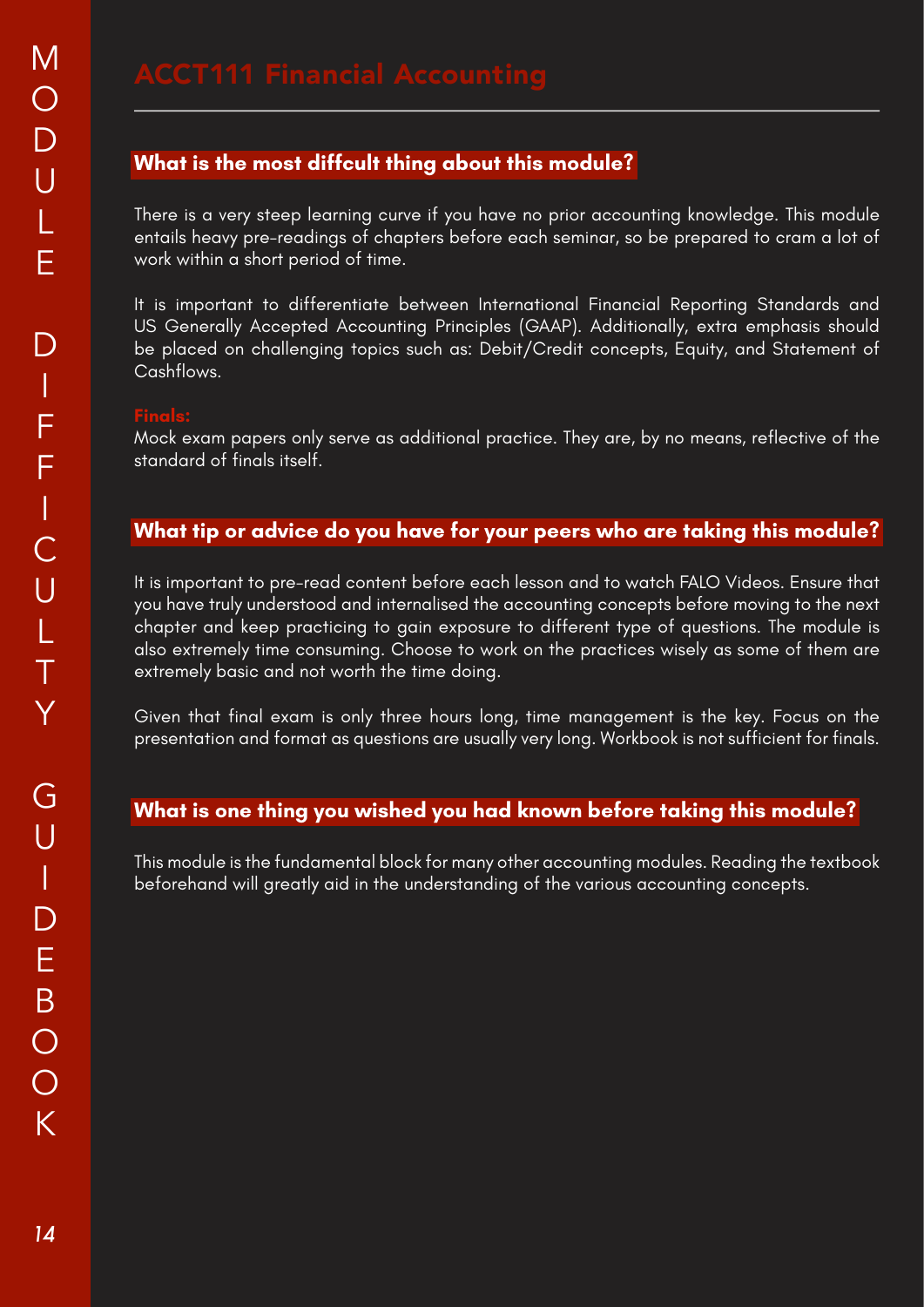There is a very steep learning curve if you have no prior accounting knowledge. This module entails heavy pre-readings of chapters before each seminar, so be prepared to cram a lot of work within a short period of time.

It is important to differentiate between International Financial Reporting Standards and US Generally Accepted Accounting Principles (GAAP). Additionally, extra emphasis should be placed on challenging topics such as: Debit/Credit concepts, Equity, and Statement of Cashflows.

Mock exam papers only serve as additional practice. They are, by no means, reflective of the standard of finals itself.

### **What tip or advice do you have for your peers who are taking this module?**

It is important to pre-read content before each lesson and to watch FALO Videos. Ensure that you have truly understood and internalised the accounting concepts before moving to the next chapter and keep practicing to gain exposure to different type of questions. The module is also extremely time consuming. Choose to work on the practices wisely as some of them are extremely basic and not worth the time doing.

Given that final exam is only three hours long, time management is the key. Focus on the presentation and format as questions are usually very long. Workbook is not sufficient for finals.

### **What is one thing you wished you had known before taking this module?**

This module is the fundamental block for many other accounting modules. Reading the textbook beforehand will greatly aid in the understanding of the various accounting concepts.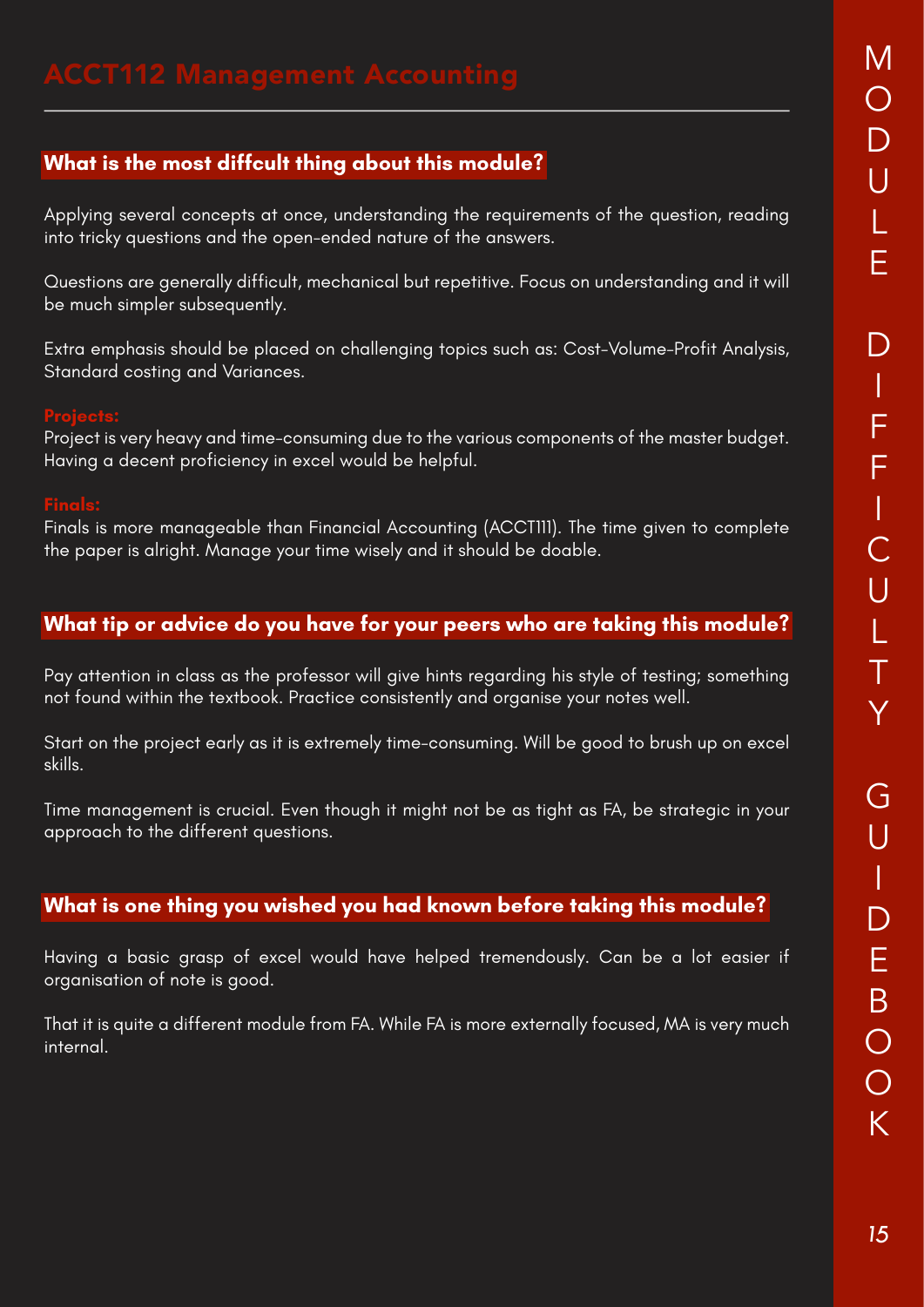Applying several concepts at once, understanding the requirements of the question, reading into tricky questions and the open-ended nature of the answers.

Questions are generally difficult, mechanical but repetitive. Focus on understanding and it will be much simpler subsequently.

Extra emphasis should be placed on challenging topics such as: Cost-Volume-Profit Analysis, Standard costing and Variances.

Project is very heavy and time-consuming due to the various components of the master budget. Having a decent proficiency in excel would be helpful.

Finals is more manageable than Financial Accounting (ACCT111). The time given to complete the paper is alright. Manage your time wisely and it should be doable.

### **What tip or advice do you have for your peers who are taking this module?**

Pay attention in class as the professor will give hints regarding his style of testing; something not found within the textbook. Practice consistently and organise your notes well.

Start on the project early as it is extremely time-consuming. Will be good to brush up on excel skills.

Time management is crucial. Even though it might not be as tight as FA, be strategic in your approach to the different questions.

### **What is one thing you wished you had known before taking this module?**

Having a basic grasp of excel would have helped tremendously. Can be a lot easier if organisation of note is good.

That it is quite a different module from FA. While FA is more externally focused, MA is very much internal.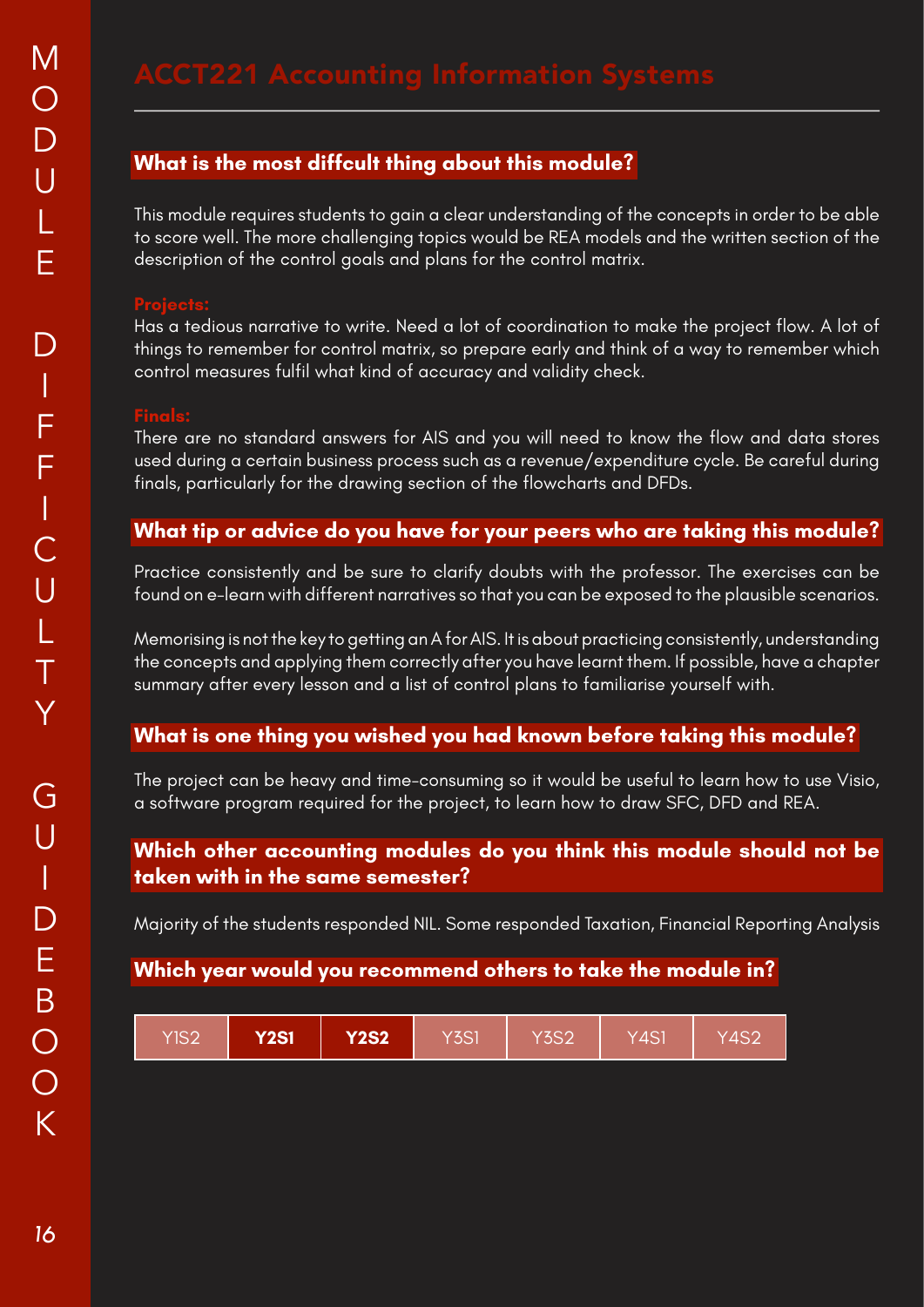This module requires students to gain a clear understanding of the concepts in order to be able to score well. The more challenging topics would be REA models and the written section of the description of the control goals and plans for the control matrix.

Has a tedious narrative to write. Need a lot of coordination to make the project flow. A lot of things to remember for control matrix, so prepare early and think of a way to remember which control measures fulfil what kind of accuracy and validity check.

There are no standard answers for AIS and you will need to know the flow and data stores used during a certain business process such as a revenue/expenditure cycle. Be careful during finals, particularly for the drawing section of the flowcharts and DFDs.

### **What tip or advice do you have for your peers who are taking this module?**

Practice consistently and be sure to clarify doubts with the professor. The exercises can be found on e-learn with different narratives so that you can be exposed to the plausible scenarios.

Memorising is not the key to getting an A for AIS. It is about practicing consistently, understanding the concepts and applying them correctly after you have learnt them. If possible, have a chapter summary after every lesson and a list of control plans to familiarise yourself with.

### **What is one thing you wished you had known before taking this module?**

The project can be heavy and time-consuming so it would be useful to learn how to use Visio, a software program required for the project, to learn how to draw SFC, DFD and REA.

### **Which other accounting modules do you think this module should not be taken with in the same semester?**

Majority of the students responded NIL. Some responded Taxation, Financial Reporting Analysis

| YIS2 | <b>Y2S1</b> | <b>Y2S2</b> | Y3S1 | <b>Y3S2</b> | Y4S1 | Y4S2 |
|------|-------------|-------------|------|-------------|------|------|
|------|-------------|-------------|------|-------------|------|------|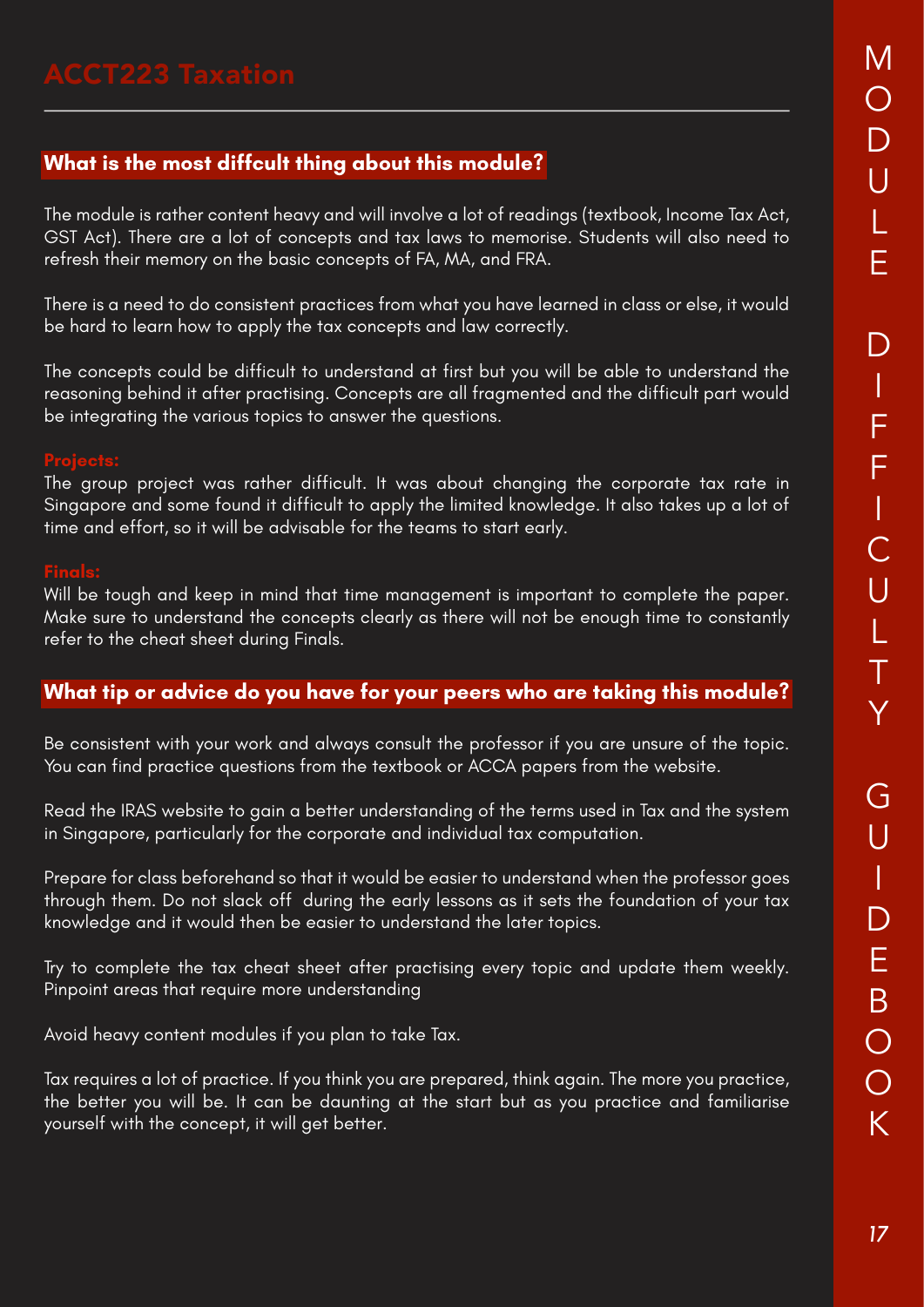The module is rather content heavy and will involve a lot of readings (textbook, Income Tax Act, GST Act). There are a lot of concepts and tax laws to memorise. Students will also need to refresh their memory on the basic concepts of FA, MA, and FRA.

There is a need to do consistent practices from what you have learned in class or else, it would be hard to learn how to apply the tax concepts and law correctly.

The concepts could be difficult to understand at first but you will be able to understand the reasoning behind it after practising. Concepts are all fragmented and the difficult part would be integrating the various topics to answer the questions.

The group project was rather difficult. It was about changing the corporate tax rate in Singapore and some found it difficult to apply the limited knowledge. It also takes up a lot of time and effort, so it will be advisable for the teams to start early.

Will be tough and keep in mind that time management is important to complete the paper. Make sure to understand the concepts clearly as there will not be enough time to constantly refer to the cheat sheet during Finals.

### **What tip or advice do you have for your peers who are taking this module?**

Be consistent with your work and always consult the professor if you are unsure of the topic. You can find practice questions from the textbook or ACCA papers from the website.

Read the IRAS website to gain a better understanding of the terms used in Tax and the system in Singapore, particularly for the corporate and individual tax computation.

Prepare for class beforehand so that it would be easier to understand when the professor goes through them. Do not slack off during the early lessons as it sets the foundation of your tax knowledge and it would then be easier to understand the later topics.

Try to complete the tax cheat sheet after practising every topic and update them weekly. Pinpoint areas that require more understanding

Avoid heavy content modules if you plan to take Tax.

Tax requires a lot of practice. If you think you are prepared, think again. The more you practice, the better you will be. It can be daunting at the start but as you practice and familiarise yourself with the concept, it will get better.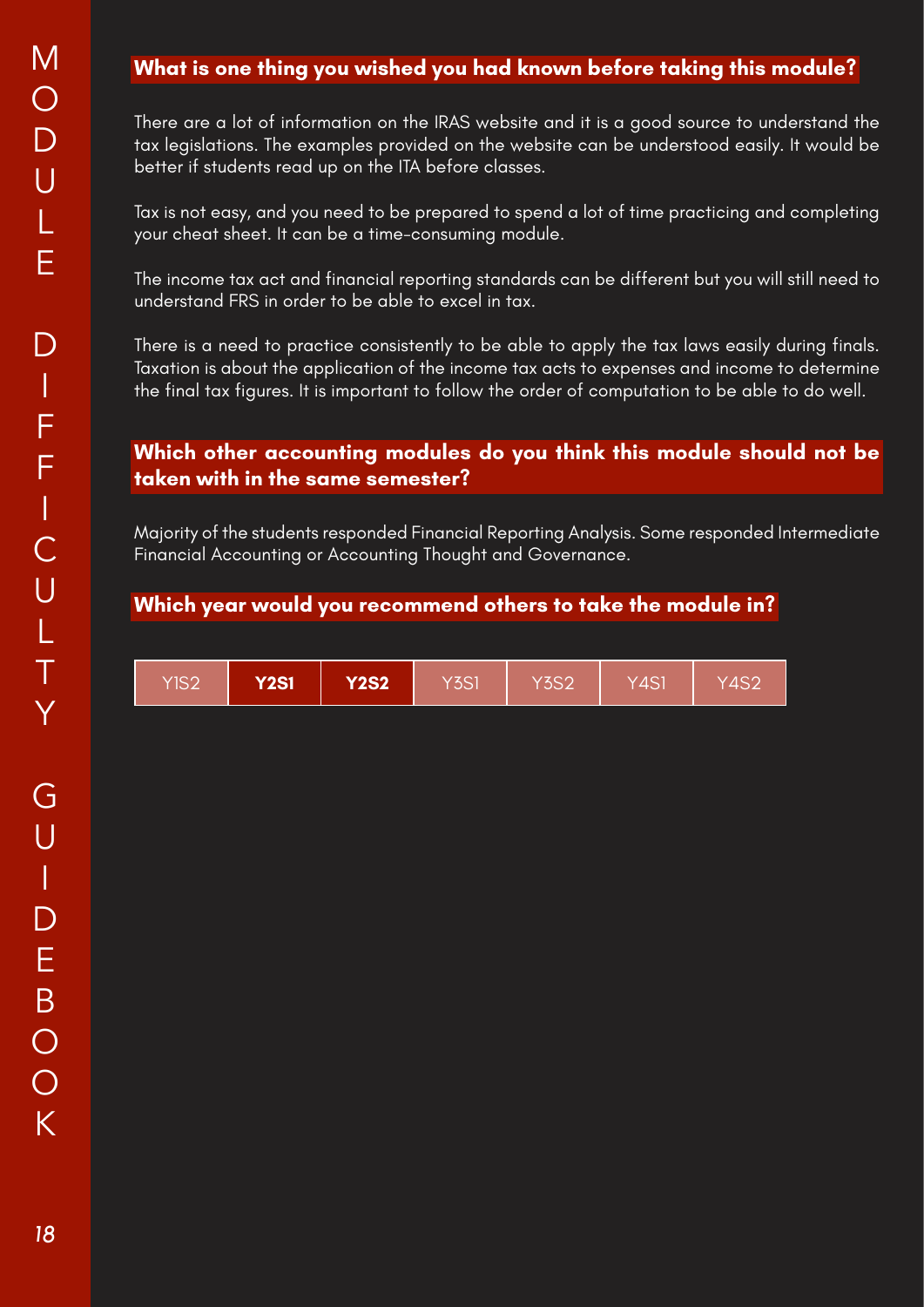# **What is one thing you wished you had known before taking this module?**

There are a lot of information on the IRAS website and it is a good source to understand the tax legislations. The examples provided on the website can be understood easily. It would be better if students read up on the ITA before classes.

Tax is not easy, and you need to be prepared to spend a lot of time practicing and completing your cheat sheet. It can be a time-consuming module.

The income tax act and financial reporting standards can be different but you will still need to understand FRS in order to be able to excel in tax.

There is a need to practice consistently to be able to apply the tax laws easily during finals. Taxation is about the application of the income tax acts to expenses and income to determine the final tax figures. It is important to follow the order of computation to be able to do well.

### **Which other accounting modules do you think this module should not be taken with in the same semester?**

Majority of the students responded Financial Reporting Analysis. Some responded Intermediate Financial Accounting or Accounting Thought and Governance.

| YIS2 | <b>Y2S1</b> | <b>Y2S2</b> | $Y$ 3S1 | Y3S2' | Y4S1 | 74S2 |
|------|-------------|-------------|---------|-------|------|------|
|------|-------------|-------------|---------|-------|------|------|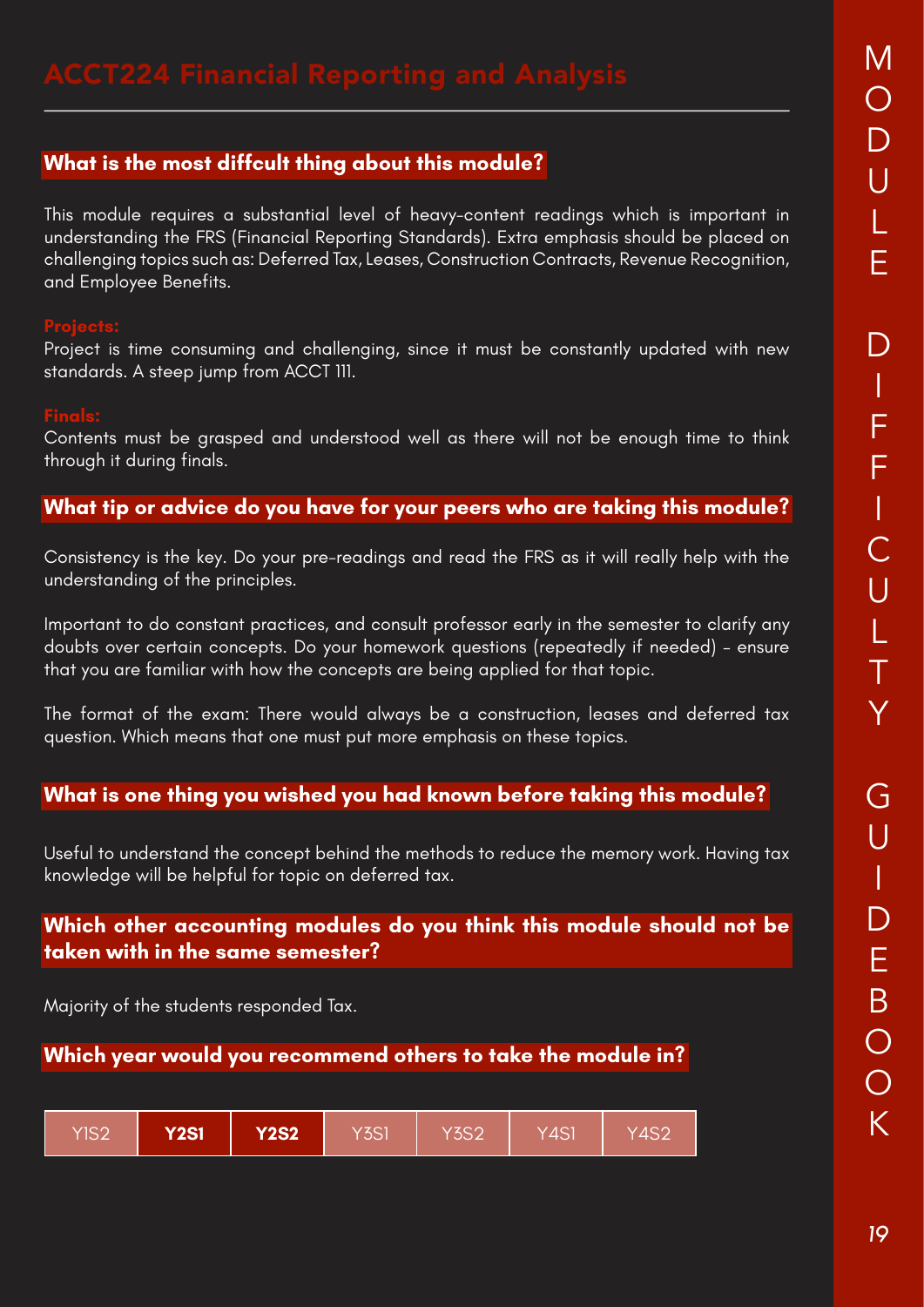This module requires a substantial level of heavy-content readings which is important in understanding the FRS (Financial Reporting Standards). Extra emphasis should be placed on challenging topics such as: Deferred Tax, Leases, Construction Contracts, Revenue Recognition, and Employee Benefits.

Project is time consuming and challenging, since it must be constantly updated with new standards. A steep jump from ACCT 111.

Contents must be grasped and understood well as there will not be enough time to think through it during finals.

# **What tip or advice do you have for your peers who are taking this module?**

Consistency is the key. Do your pre-readings and read the FRS as it will really help with the understanding of the principles.

Important to do constant practices, and consult professor early in the semester to clarify any doubts over certain concepts. Do your homework questions (repeatedly if needed) – ensure that you are familiar with how the concepts are being applied for that topic.

The format of the exam: There would always be a construction, leases and deferred tax question. Which means that one must put more emphasis on these topics.

### **What is one thing you wished you had known before taking this module?**

Useful to understand the concept behind the methods to reduce the memory work. Having tax knowledge will be helpful for topic on deferred tax.

### **Which other accounting modules do you think this module should not be taken with in the same semester?**

Majority of the students responded Tax.

| <b>Y2S2</b><br><b>Y2S1</b><br><b>YIS2</b> | Y3S1 | <b>Y3S2</b> | Y4S1 | $\overline{\text{Y4}}$ S2 |
|-------------------------------------------|------|-------------|------|---------------------------|
|-------------------------------------------|------|-------------|------|---------------------------|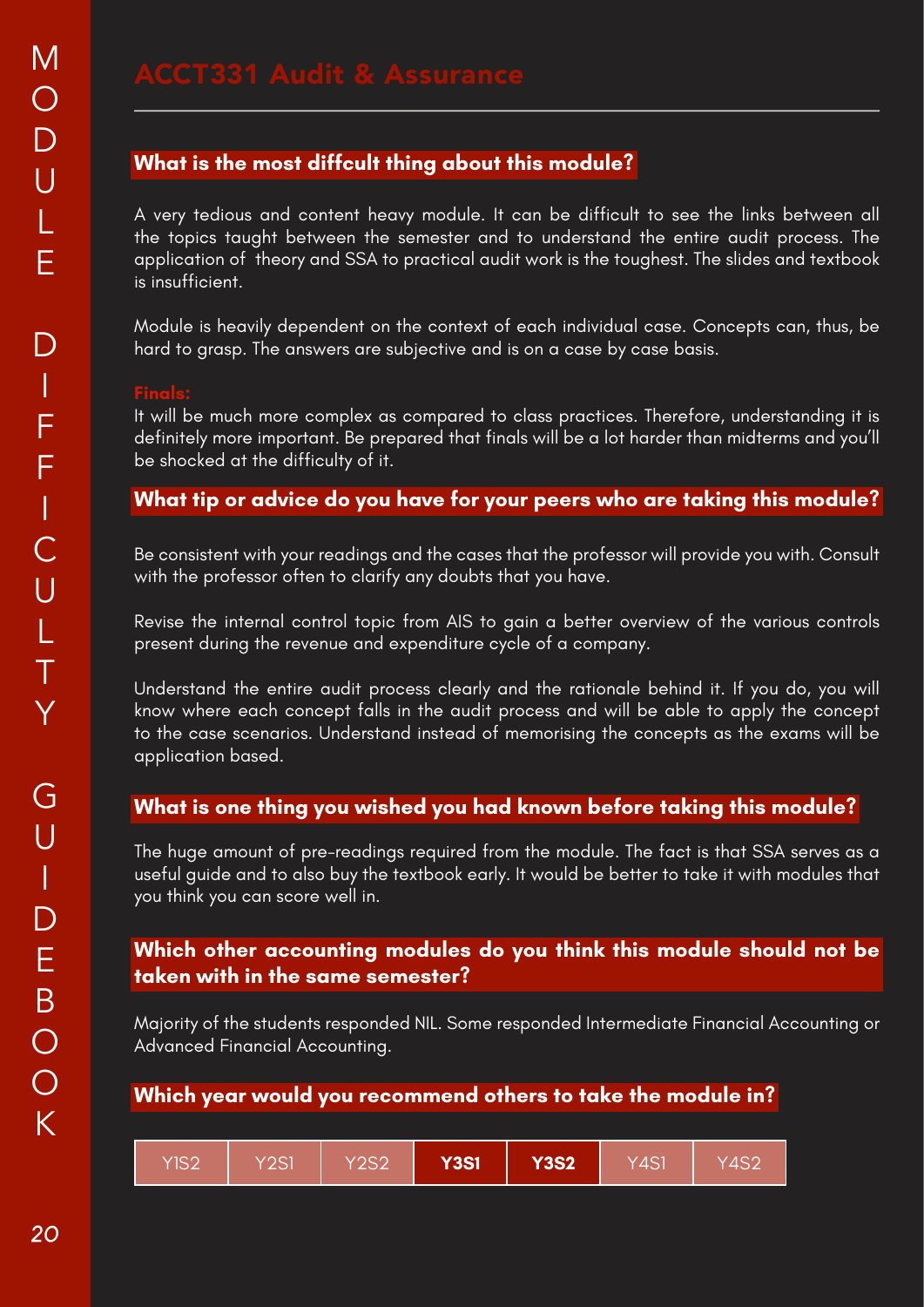A very tedious and content heavy module. It can be difficult to see the links between all the topics taught between the semester and to understand the entire audit process. The application of theory and SSA to practical audit work is the toughest. The slides and textbook is insufficient.

Module is heavily dependent on the context of each individual case. Concepts can, thus, be hard to grasp. The answers are subjective and is on a case by case basis.

It will be much more complex as compared to class practices. Therefore, understanding it is definitely more important. Be prepared that finals will be a lot harder than midterms and you'll be shocked at the difficulty of it.

### **What tip or advice do you have for your peers who are taking this module?**

Be consistent with your readings and the cases that the professor will provide you with. Consult with the professor often to clarify any doubts that you have.

Revise the internal control topic from AIS to gain a better overview of the various controls present during the revenue and expenditure cycle of a company.

Understand the entire audit process clearly and the rationale behind it. If you do, you will know where each concept falls in the audit process and will be able to apply the concept to the case scenarios. Understand instead of memorising the concepts as the exams will be application based.

### **What is one thing you wished you had known before taking this module?**

The huge amount of pre-readings required from the module. The fact is that SSA serves as a useful guide and to also buy the textbook early. It would be better to take it with modules that you think you can score well in.

### **Which other accounting modules do you think this module should not be taken with in the same semester?**

Majority of the students responded NIL. Some responded Intermediate Financial Accounting or Advanced Financial Accounting.

| YIS2 | Y2S1 | Y2S2 | <b>Y3S1</b> | <b>Y3S2</b> | Y4S1 | 74S2 |
|------|------|------|-------------|-------------|------|------|
|------|------|------|-------------|-------------|------|------|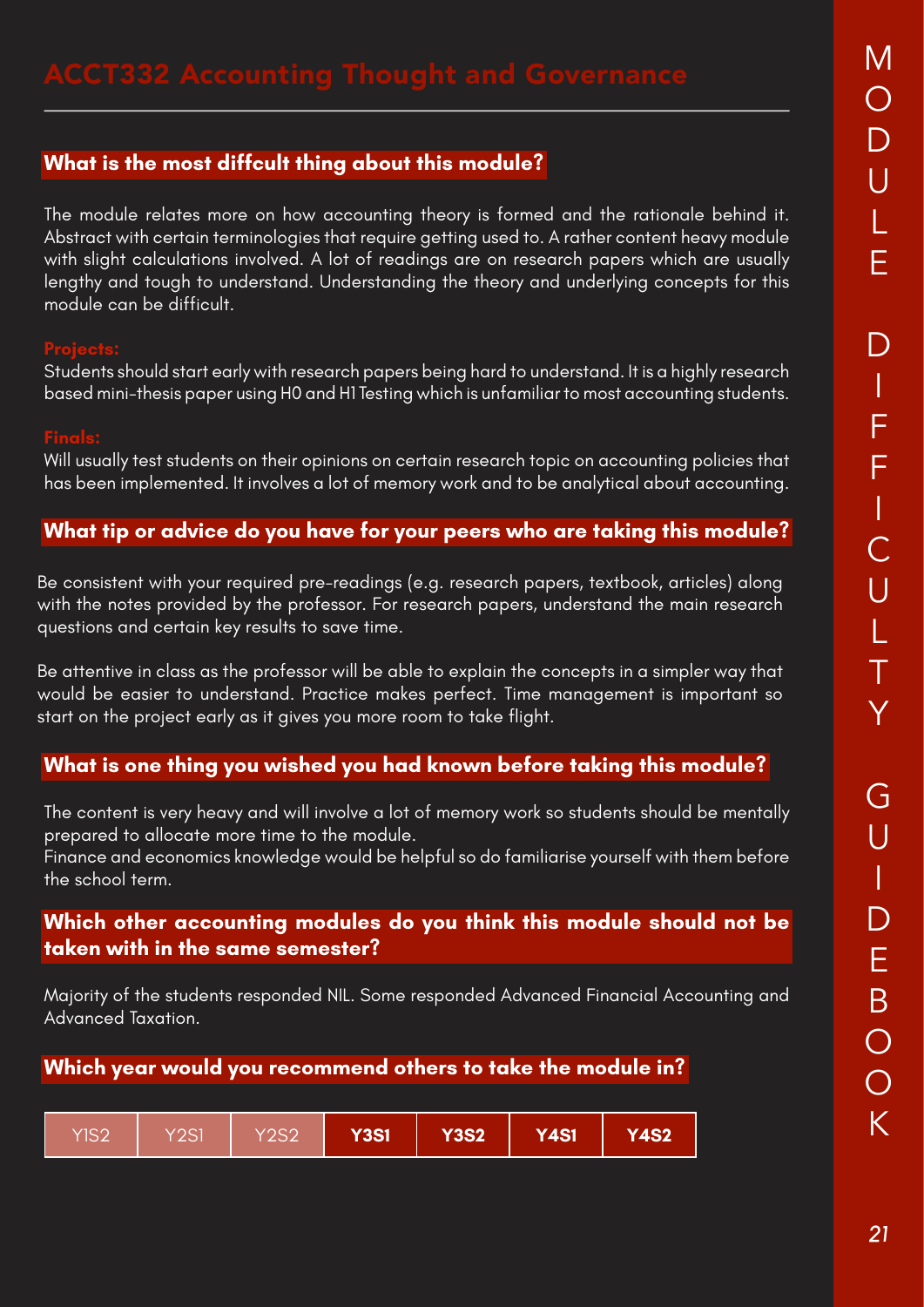The module relates more on how accounting theory is formed and the rationale behind it. Abstract with certain terminologies that require getting used to. A rather content heavy module with slight calculations involved. A lot of readings are on research papers which are usually lengthy and tough to understand. Understanding the theory and underlying concepts for this module can be difficult.

Students should start early with research papers being hard to understand. It is a highly research based mini-thesis paper using H0 and H1 Testing which is unfamiliar to most accounting students.

Will usually test students on their opinions on certain research topic on accounting policies that has been implemented. It involves a lot of memory work and to be analytical about accounting.

# **What tip or advice do you have for your peers who are taking this module?**

Be consistent with your required pre-readings (e.g. research papers, textbook, articles) along with the notes provided by the professor. For research papers, understand the main research questions and certain key results to save time.

Be attentive in class as the professor will be able to explain the concepts in a simpler way that would be easier to understand. Practice makes perfect. Time management is important so start on the project early as it gives you more room to take flight.

### **What is one thing you wished you had known before taking this module?**

The content is very heavy and will involve a lot of memory work so students should be mentally prepared to allocate more time to the module.

Finance and economics knowledge would be helpful so do familiarise yourself with them before the school term.

### **Which other accounting modules do you think this module should not be taken with in the same semester?**

Majority of the students responded NIL. Some responded Advanced Financial Accounting and Advanced Taxation.

| Y2S1<br>$Y$ IS2<br>Y2S2 | Y3S1 <sup>1</sup> | <b>Y3S2</b> | Y4S1 | Y4S2 <sup>1</sup> |
|-------------------------|-------------------|-------------|------|-------------------|
|-------------------------|-------------------|-------------|------|-------------------|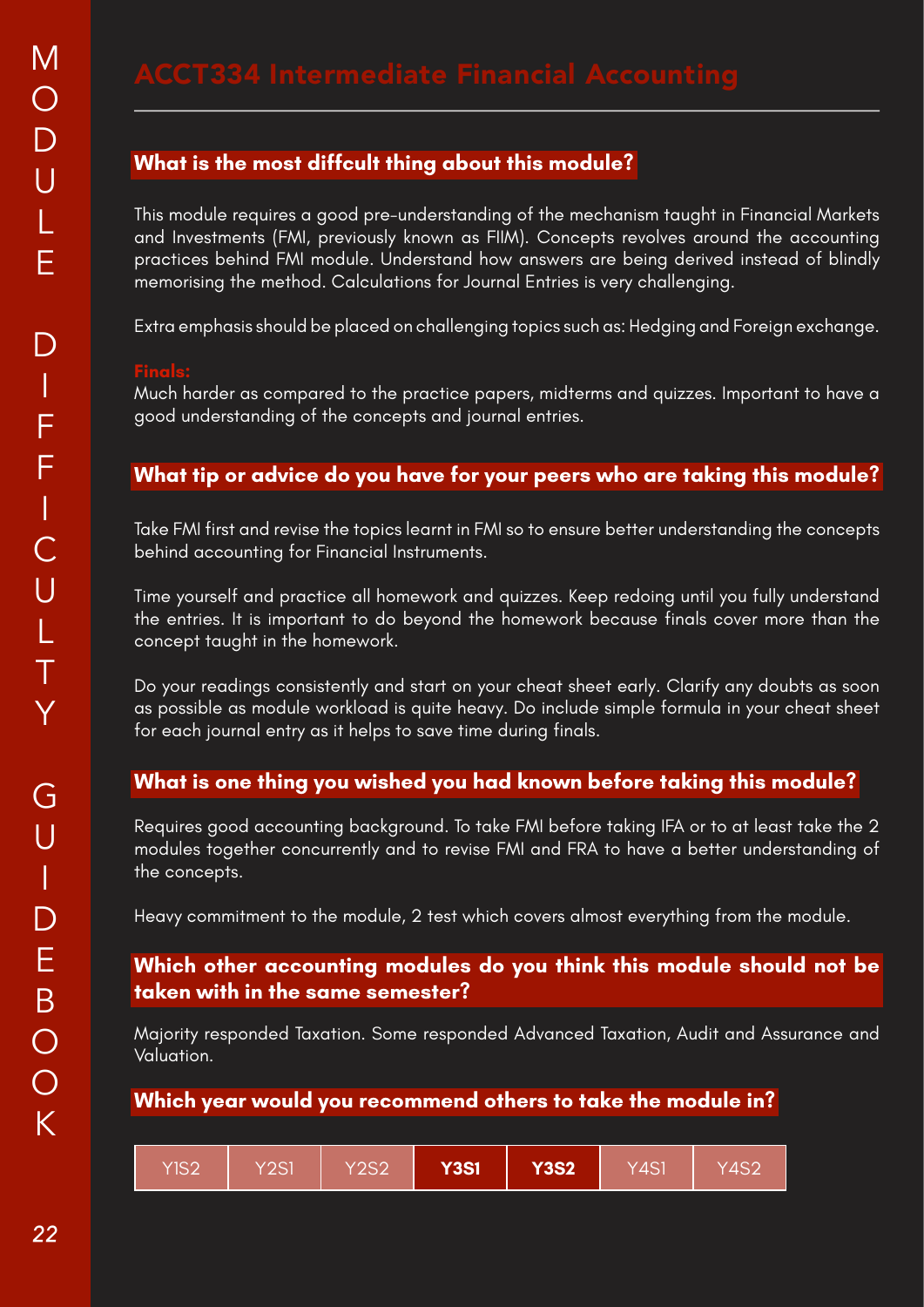This module requires a good pre-understanding of the mechanism taught in Financial Markets and Investments (FMI, previously known as FIIM). Concepts revolves around the accounting practices behind FMI module. Understand how answers are being derived instead of blindly memorising the method. Calculations for Journal Entries is very challenging.

Extra emphasis should be placed on challenging topics such as: Hedging and Foreign exchange.

Much harder as compared to the practice papers, midterms and quizzes. Important to have a good understanding of the concepts and journal entries.

### **What tip or advice do you have for your peers who are taking this module?**

Take FMI first and revise the topics learnt in FMI so to ensure better understanding the concepts behind accounting for Financial Instruments.

Time yourself and practice all homework and quizzes. Keep redoing until you fully understand the entries. It is important to do beyond the homework because finals cover more than the concept taught in the homework.

Do your readings consistently and start on your cheat sheet early. Clarify any doubts as soon as possible as module workload is quite heavy. Do include simple formula in your cheat sheet for each journal entry as it helps to save time during finals.

### **What is one thing you wished you had known before taking this module?**

Requires good accounting background. To take FMI before taking IFA or to at least take the 2 modules together concurrently and to revise FMI and FRA to have a better understanding of the concepts.

Heavy commitment to the module, 2 test which covers almost everything from the module.

### **Which other accounting modules do you think this module should not be taken with in the same semester?**

Majority responded Taxation. Some responded Advanced Taxation, Audit and Assurance and Valuation.

| YIS2<br>Y2S1 | Y2S2 | <b>Y3S1</b> | <b>Y3S2</b> | Y4S1 | Y4S2 |
|--------------|------|-------------|-------------|------|------|
|--------------|------|-------------|-------------|------|------|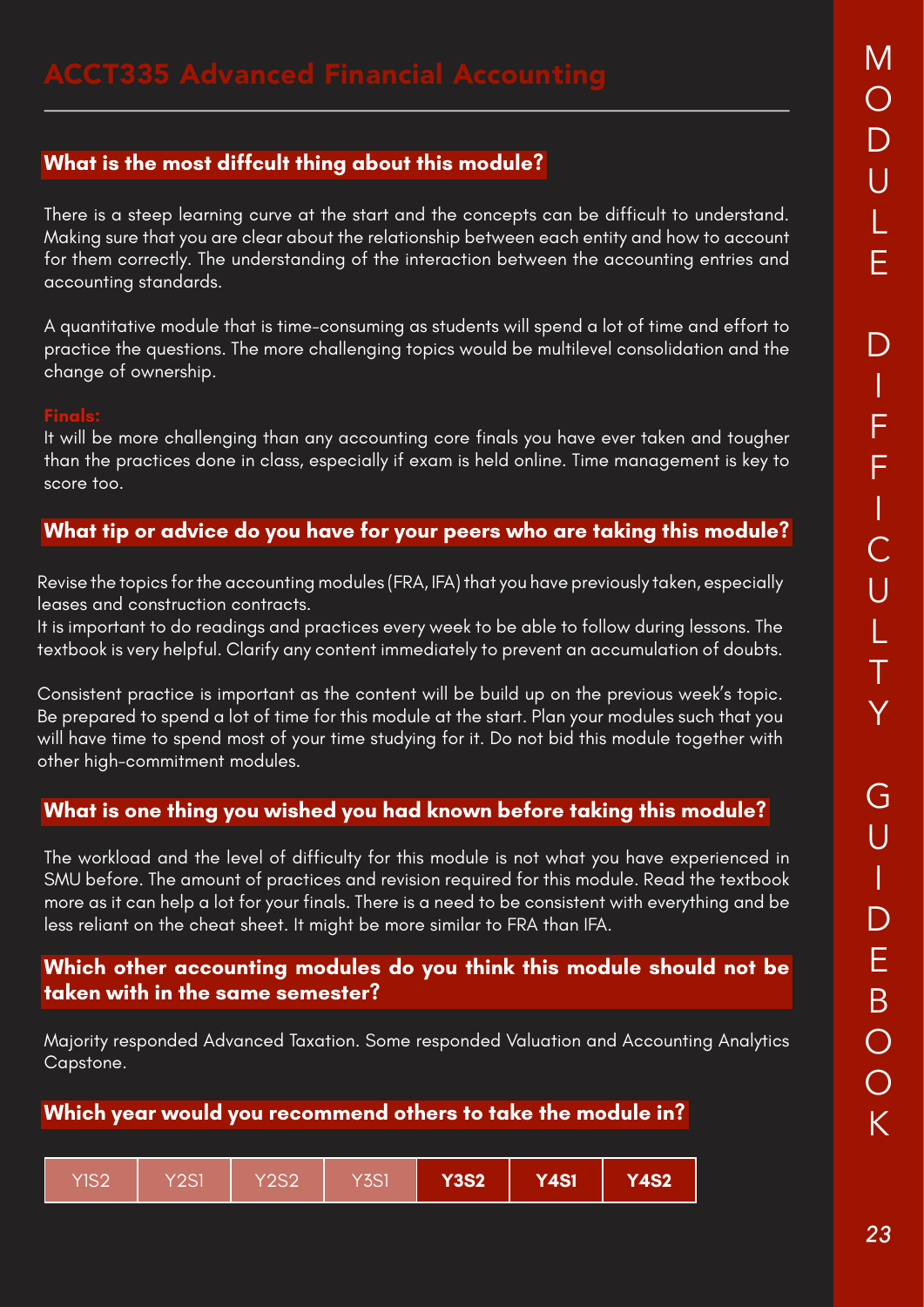There is a steep learning curve at the start and the concepts can be difficult to understand. Making sure that you are clear about the relationship between each entity and how to account for them correctly. The understanding of the interaction between the accounting entries and accounting standards.

A quantitative module that is time-consuming as students will spend a lot of time and effort to practice the questions. The more challenging topics would be multilevel consolidation and the change of ownership.

It will be more challenging than any accounting core finals you have ever taken and tougher than the practices done in class, especially if exam is held online. Time management is key to score too.

### **What tip or advice do you have for your peers who are taking this module?**

Revise the topics for the accounting modules (FRA, IFA) that you have previously taken, especially leases and construction contracts.

It is important to do readings and practices every week to be able to follow during lessons. The textbook is very helpful. Clarify any content immediately to prevent an accumulation of doubts.

Consistent practice is important as the content will be build up on the previous week's topic. Be prepared to spend a lot of time for this module at the start. Plan your modules such that you will have time to spend most of your time studying for it. Do not bid this module together with other high-commitment modules.

### **What is one thing you wished you had known before taking this module?**

The workload and the level of difficulty for this module is not what you have experienced in SMU before. The amount of practices and revision required for this module. Read the textbook more as it can help a lot for your finals. There is a need to be consistent with everything and be less reliant on the cheat sheet. It might be more similar to FRA than IFA.

### **Which other accounting modules do you think this module should not be taken with in the same semester?**

Majority responded Advanced Taxation. Some responded Valuation and Accounting Analytics Capstone.

| YIS2 | Y2S1 | <b>Y2S2</b> | <b>Y3S1</b> | <b>Y3S2</b> | <b>Y4S1</b> | <b>Y4S2</b> |
|------|------|-------------|-------------|-------------|-------------|-------------|
|------|------|-------------|-------------|-------------|-------------|-------------|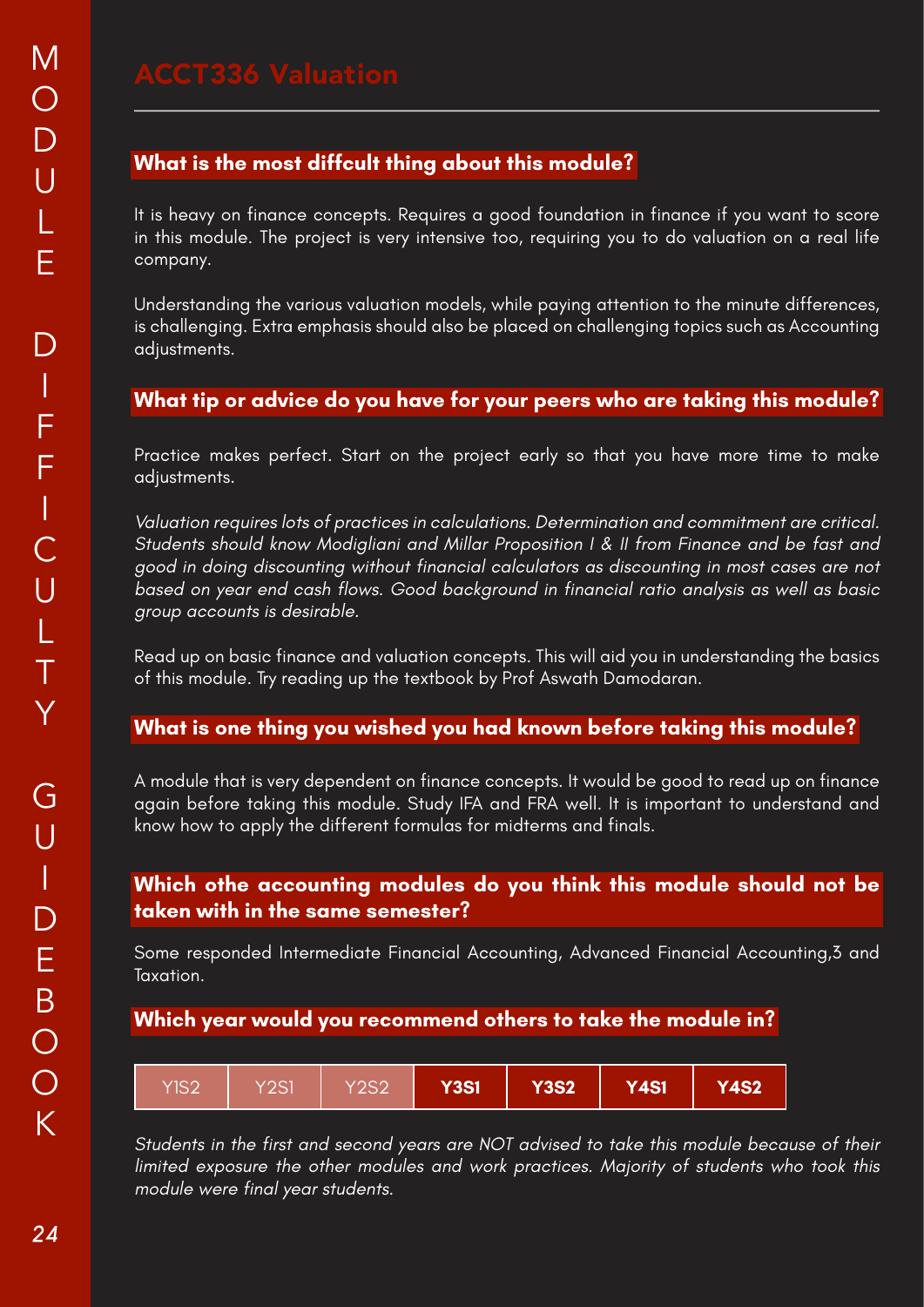It is heavy on finance concepts. Requires a good foundation in finance if you want to score in this module. The project is very intensive too, requiring you to do valuation on a real life company.

Understanding the various valuation models, while paying attention to the minute differences, is challenging. Extra emphasis should also be placed on challenging topics such as Accounting adjustments.

### **What tip or advice do you have for your peers who are taking this module?**

Practice makes perfect. Start on the project early so that you have more time to make adjustments.

Valuation requires lots of practices in calculations. Determination and commitment are critical. Students should know Modigliani and Millar Proposition I & II from Finance and be fast and good in doing discounting without financial calculators as discounting in most cases are not based on year end cash flows. Good background in financial ratio analysis as well as basic group accounts is desirable.

Read up on basic finance and valuation concepts. This will aid you in understanding the basics of this module. Try reading up the textbook by Prof Aswath Damodaran.

### **What is one thing you wished you had known before taking this module?**

A module that is very dependent on finance concepts. It would be good to read up on finance again before taking this module. Study IFA and FRA well. It is important to understand and know how to apply the different formulas for midterms and finals.

### **Which othe accounting modules do you think this module should not be taken with in the same semester?**

Some responded Intermediate Financial Accounting, Advanced Financial Accounting,3 and Taxation.

### **Which year would you recommend others to take the module in?**

| YIS2 | Y2S1 | Y2S2 | <b>Y3S1</b> | <b>Y3S2</b> | <b>Y4S1</b> | <b>Y4S2</b> |
|------|------|------|-------------|-------------|-------------|-------------|
|------|------|------|-------------|-------------|-------------|-------------|

Students in the first and second years are NOT advised to take this module because of their limited exposure the other modules and work practices. Majority of students who took this module were final year students.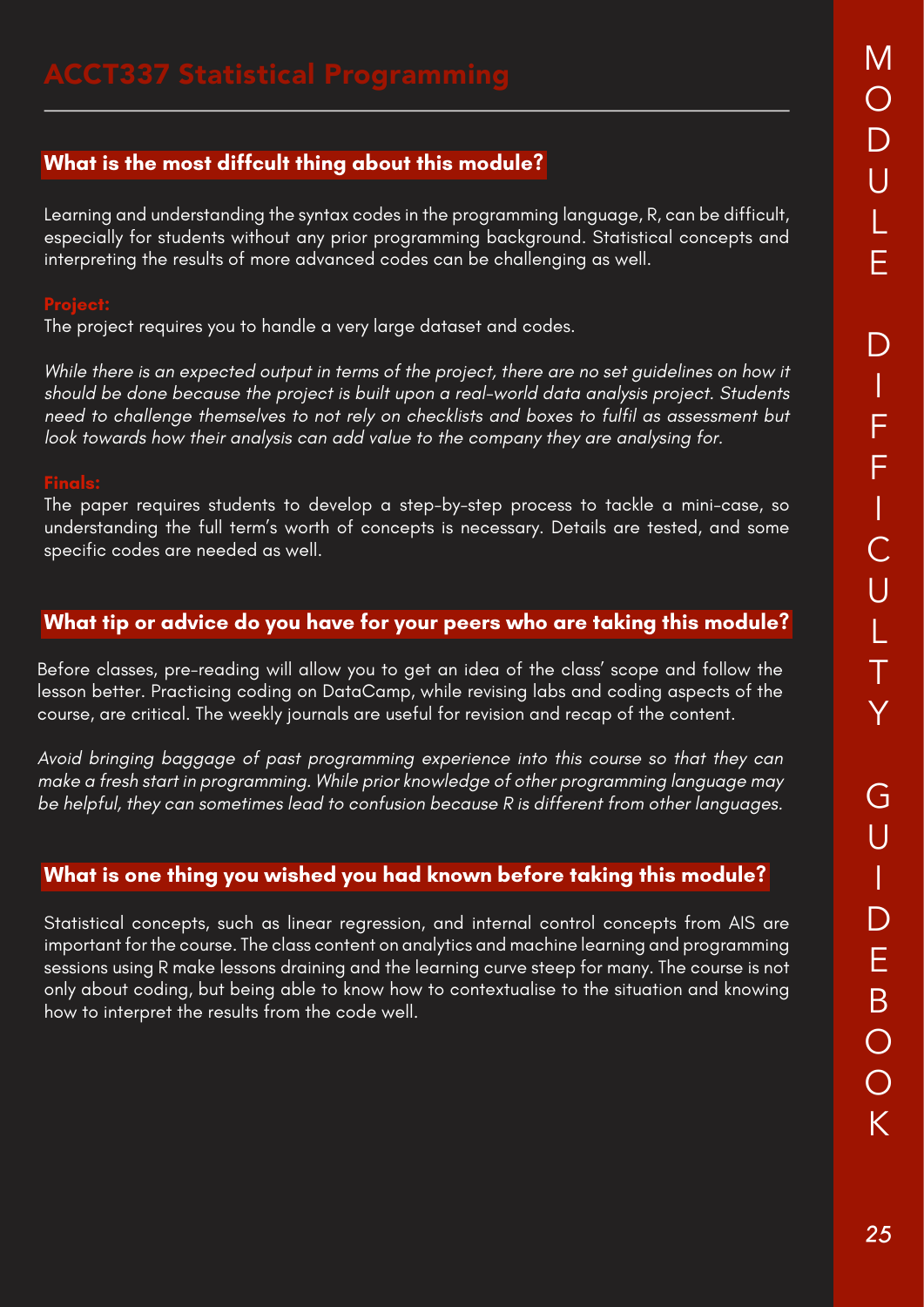Learning and understanding the syntax codes in the programming language, R, can be difficult, especially for students without any prior programming background. Statistical concepts and interpreting the results of more advanced codes can be challenging as well.

The project requires you to handle a very large dataset and codes.

While there is an expected output in terms of the project, there are no set guidelines on how it should be done because the project is built upon a real-world data analysis project. Students need to challenge themselves to not rely on checklists and boxes to fulfil as assessment but look towards how their analysis can add value to the company they are analysing for.

The paper requires students to develop a step-by-step process to tackle a mini-case, so understanding the full term's worth of concepts is necessary. Details are tested, and some specific codes are needed as well.

### **What tip or advice do you have for your peers who are taking this module?**

Before classes, pre-reading will allow you to get an idea of the class' scope and follow the lesson better. Practicing coding on DataCamp, while revising labs and coding aspects of the course, are critical. The weekly journals are useful for revision and recap of the content.

Avoid bringing baggage of past programming experience into this course so that they can make a fresh start in programming. While prior knowledge of other programming language may be helpful, they can sometimes lead to confusion because R is different from other languages.

### **What is one thing you wished you had known before taking this module?**

Statistical concepts, such as linear regression, and internal control concepts from AIS are important for the course. The class content on analytics and machine learning and programming sessions using R make lessons draining and the learning curve steep for many. The course is not only about coding, but being able to know how to contextualise to the situation and knowing how to interpret the results from the code well.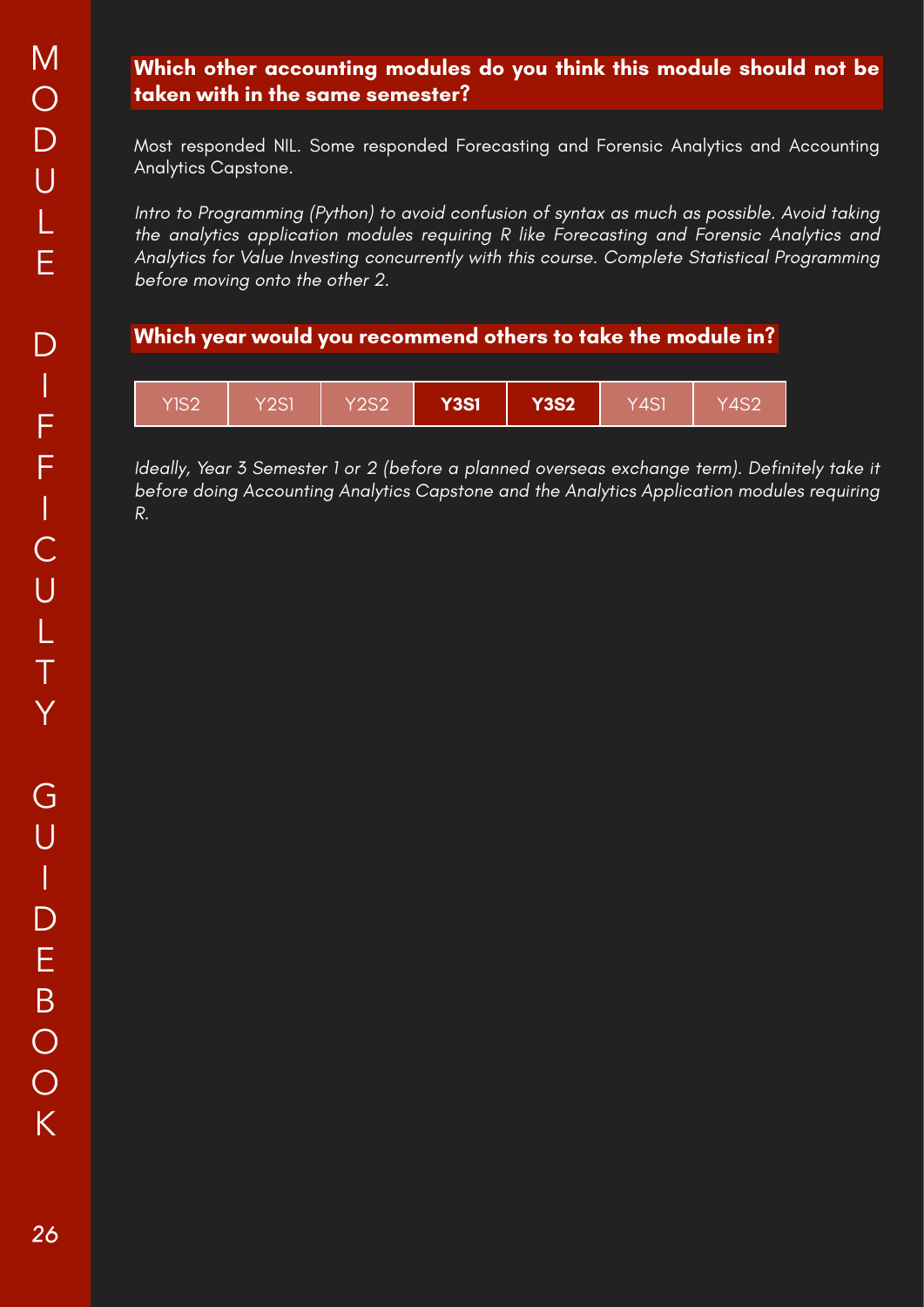### **Which other accounting modules do you think this module should not be taken with in the same semester?**

Most responded NIL. Some responded Forecasting and Forensic Analytics and Accounting Analytics Capstone.

Intro to Programming (Python) to avoid confusion of syntax as much as possible. Avoid taking the analytics application modules requiring R like Forecasting and Forensic Analytics and Analytics for Value Investing concurrently with this course. Complete Statistical Programming before moving onto the other 2.

### **Which year would you recommend others to take the module in?**



Ideally, Year 3 Semester 1 or 2 (before a planned overseas exchange term). Definitely take it before doing Accounting Analytics Capstone and the Analytics Application modules requiring R.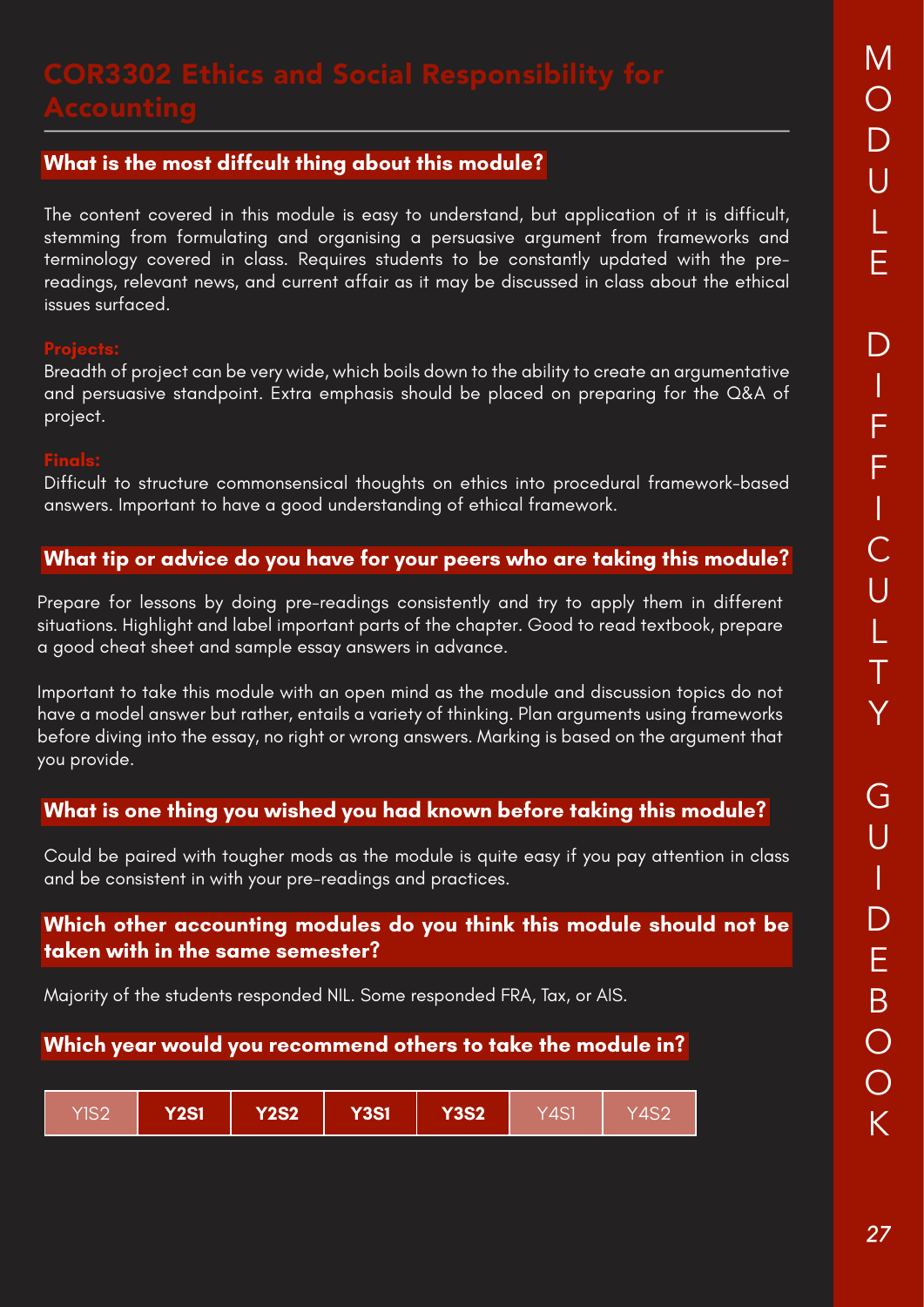The content covered in this module is easy to understand, but application of it is difficult, stemming from formulating and organising a persuasive argument from frameworks and terminology covered in class. Requires students to be constantly updated with the prereadings, relevant news, and current affair as it may be discussed in class about the ethical issues surfaced.

Breadth of project can be very wide, which boils down to the ability to create an argumentative and persuasive standpoint. Extra emphasis should be placed on preparing for the Q&A of project.

Difficult to structure commonsensical thoughts on ethics into procedural framework-based answers. Important to have a good understanding of ethical framework.

### **What tip or advice do you have for your peers who are taking this module?**

Prepare for lessons by doing pre-readings consistently and try to apply them in different situations. Highlight and label important parts of the chapter. Good to read textbook, prepare a good cheat sheet and sample essay answers in advance.

Important to take this module with an open mind as the module and discussion topics do not have a model answer but rather, entails a variety of thinking. Plan arguments using frameworks before diving into the essay, no right or wrong answers. Marking is based on the argument that you provide.

# **What is one thing you wished you had known before taking this module?**

Could be paired with tougher mods as the module is quite easy if you pay attention in class and be consistent in with your pre-readings and practices.

### **Which other accounting modules do you think this module should not be taken with in the same semester?**

Majority of the students responded NIL. Some responded FRA, Tax, or AIS.

| <b>Y2S2</b><br><b>Y2S1</b><br>Y3S1<br>YIS2 | <b>Y3S2</b> | Y4S1 | Y4S2 |
|--------------------------------------------|-------------|------|------|
|--------------------------------------------|-------------|------|------|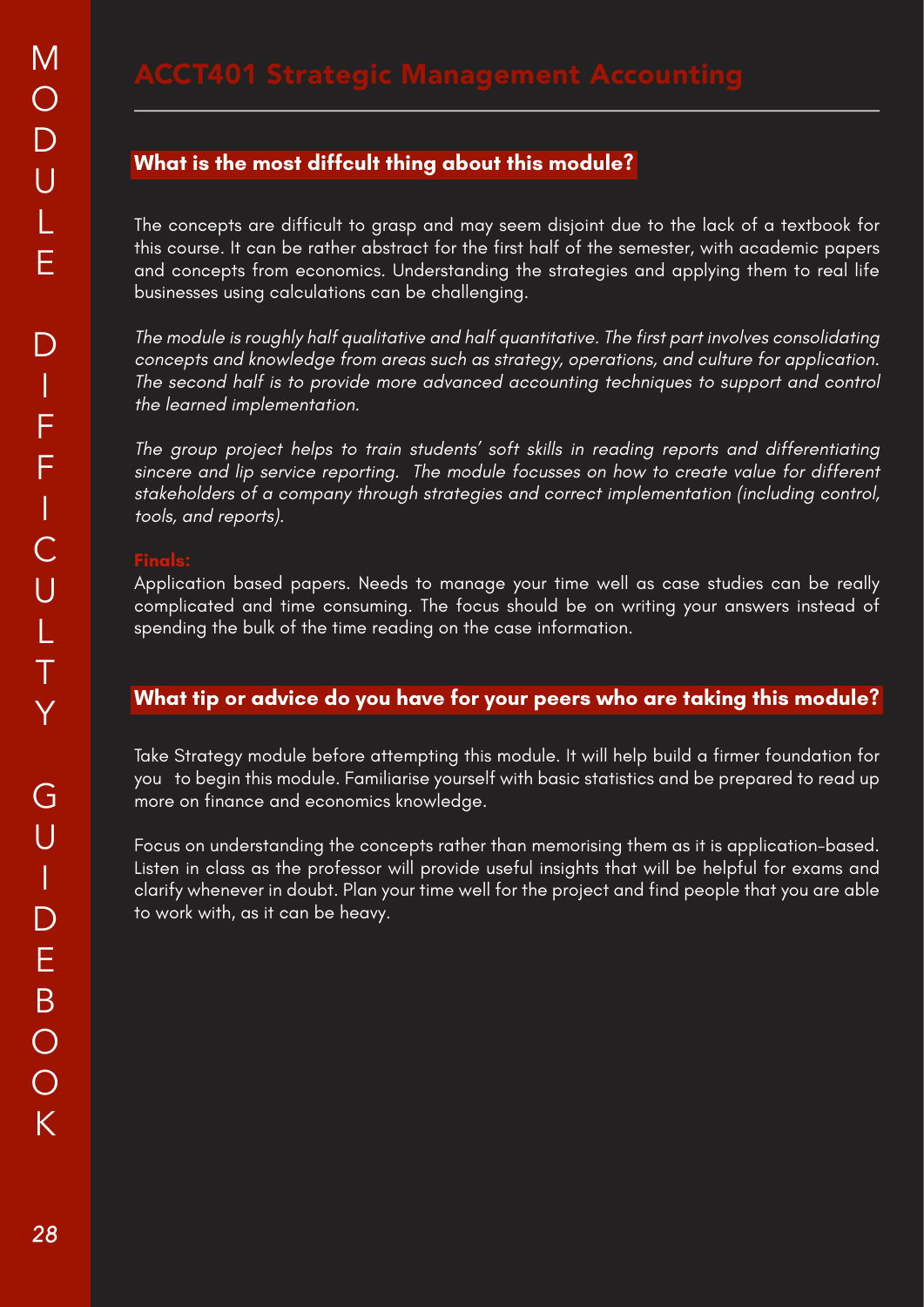The concepts are difficult to grasp and may seem disjoint due to the lack of a textbook for this course. It can be rather abstract for the first half of the semester, with academic papers and concepts from economics. Understanding the strategies and applying them to real life businesses using calculations can be challenging.

The module is roughly half qualitative and half quantitative. The first part involves consolidating concepts and knowledge from areas such as strategy, operations, and culture for application. The second half is to provide more advanced accounting techniques to support and control the learned implementation.

The group project helps to train students' soft skills in reading reports and differentiating sincere and lip service reporting. The module focusses on how to create value for different stakeholders of a company through strategies and correct implementation (including control, tools, and reports).

Application based papers. Needs to manage your time well as case studies can be really complicated and time consuming. The focus should be on writing your answers instead of spending the bulk of the time reading on the case information.

### **What tip or advice do you have for your peers who are taking this module?**

Take Strategy module before attempting this module. It will help build a firmer foundation for you to begin this module. Familiarise yourself with basic statistics and be prepared to read up more on finance and economics knowledge.

Focus on understanding the concepts rather than memorising them as it is application-based. Listen in class as the professor will provide useful insights that will be helpful for exams and clarify whenever in doubt. Plan your time well for the project and find people that you are able to work with, as it can be heavy.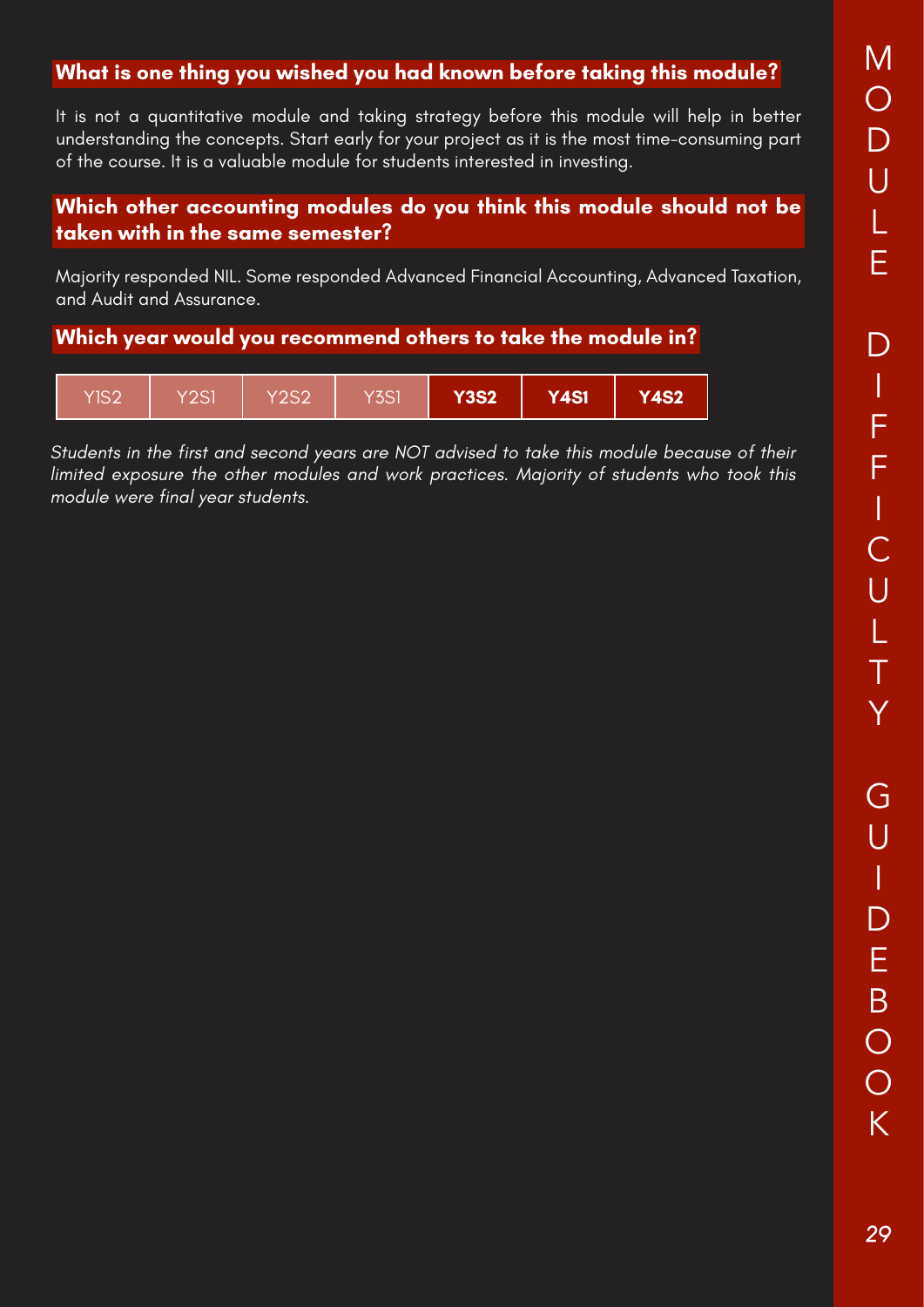### **What is one thing you wished you had known before taking this module?**

It is not a quantitative module and taking strategy before this module will help in better understanding the concepts. Start early for your project as it is the most time-consuming part of the course. It is a valuable module for students interested in investing.

### **Which other accounting modules do you think this module should not be taken with in the same semester?**

Majority responded NIL. Some responded Advanced Financial Accounting, Advanced Taxation, and Audit and Assurance.

### **Which year would you recommend others to take the module in?**



Students in the first and second years are NOT advised to take this module because of their limited exposure the other modules and work practices. Majority of students who took this module were final year students.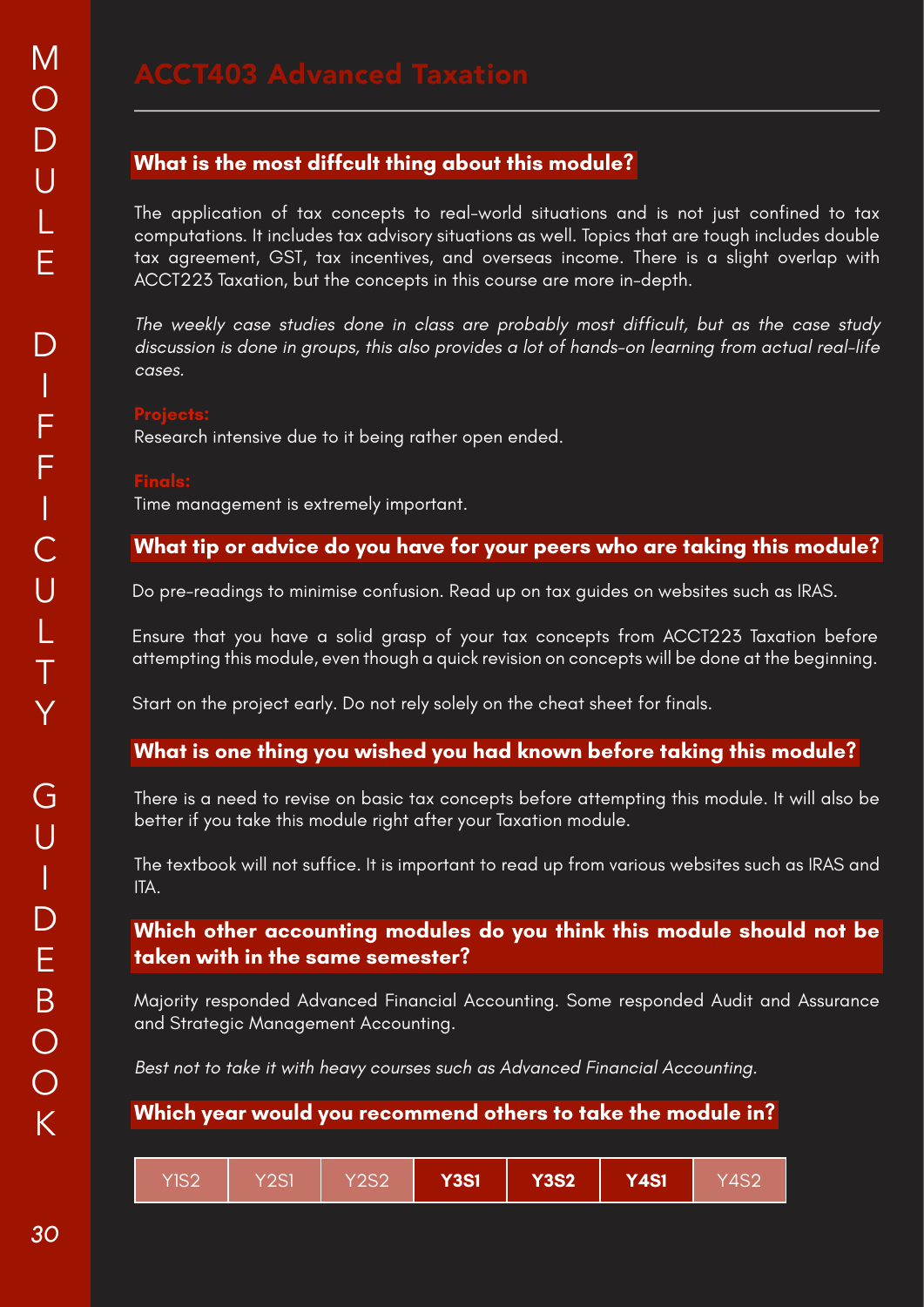The application of tax concepts to real-world situations and is not just confined to tax computations. It includes tax advisory situations as well. Topics that are tough includes double tax agreement, GST, tax incentives, and overseas income. There is a slight overlap with ACCT223 Taxation, but the concepts in this course are more in-depth.

The weekly case studies done in class are probably most difficult, but as the case study discussion is done in groups, this also provides a lot of hands-on learning from actual real-life cases.

Research intensive due to it being rather open ended.

Time management is extremely important.

### **What tip or advice do you have for your peers who are taking this module?**

Do pre-readings to minimise confusion. Read up on tax guides on websites such as IRAS.

Ensure that you have a solid grasp of your tax concepts from ACCT223 Taxation before attempting this module, even though a quick revision on concepts will be done at the beginning.

Start on the project early. Do not rely solely on the cheat sheet for finals.

### **What is one thing you wished you had known before taking this module?**

There is a need to revise on basic tax concepts before attempting this module. It will also be better if you take this module right after your Taxation module.

The textbook will not suffice. It is important to read up from various websites such as IRAS and ITA.

### **Which other accounting modules do you think this module should not be taken with in the same semester?**

Majority responded Advanced Financial Accounting. Some responded Audit and Assurance and Strategic Management Accounting.

Best not to take it with heavy courses such as Advanced Financial Accounting.

| YIS2 | Y2SM | <b>Y2S2</b> | <b>Y3S1</b> | <b>Y3S2</b> | <b>Y4S1</b> | Y4S2 |
|------|------|-------------|-------------|-------------|-------------|------|
|------|------|-------------|-------------|-------------|-------------|------|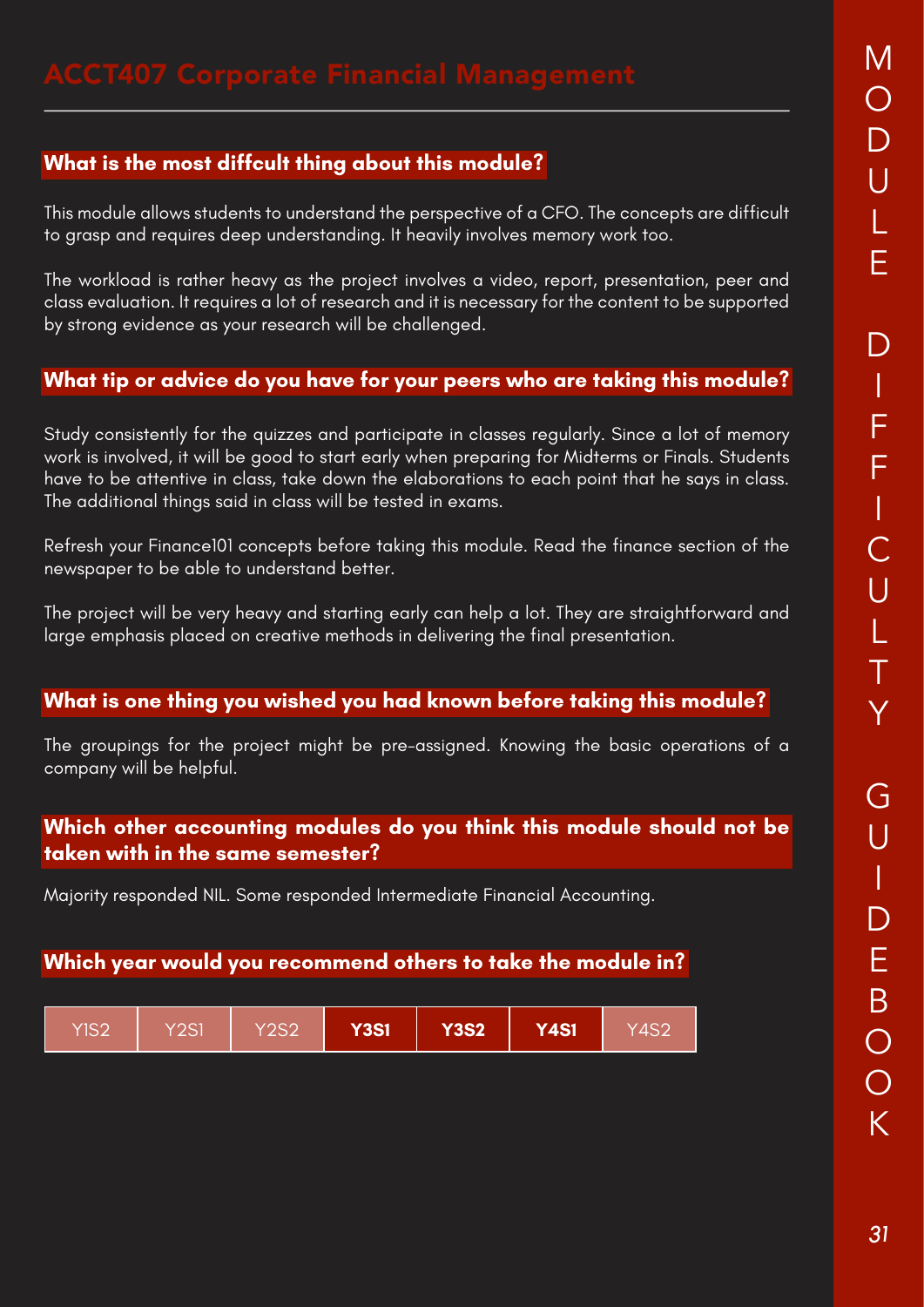This module allows students to understand the perspective of a CFO. The concepts are difficult to grasp and requires deep understanding. It heavily involves memory work too.

The workload is rather heavy as the project involves a video, report, presentation, peer and class evaluation. It requires a lot of research and it is necessary for the content to be supported by strong evidence as your research will be challenged.

### **What tip or advice do you have for your peers who are taking this module?**

Study consistently for the quizzes and participate in classes regularly. Since a lot of memory work is involved, it will be good to start early when preparing for Midterms or Finals. Students have to be attentive in class, take down the elaborations to each point that he says in class. The additional things said in class will be tested in exams.

Refresh your Finance101 concepts before taking this module. Read the finance section of the newspaper to be able to understand better.

The project will be very heavy and starting early can help a lot. They are straightforward and large emphasis placed on creative methods in delivering the final presentation.

### **What is one thing you wished you had known before taking this module?**

The groupings for the project might be pre-assigned. Knowing the basic operations of a company will be helpful.

### **Which other accounting modules do you think this module should not be taken with in the same semester?**

Majority responded NIL. Some responded Intermediate Financial Accounting.

| YIS2 | Y2S1 | Y2S2 | <b>Y3S1</b> | <b>Y3S2</b> | <b>Y4S1</b> | Y4S2 |
|------|------|------|-------------|-------------|-------------|------|
|------|------|------|-------------|-------------|-------------|------|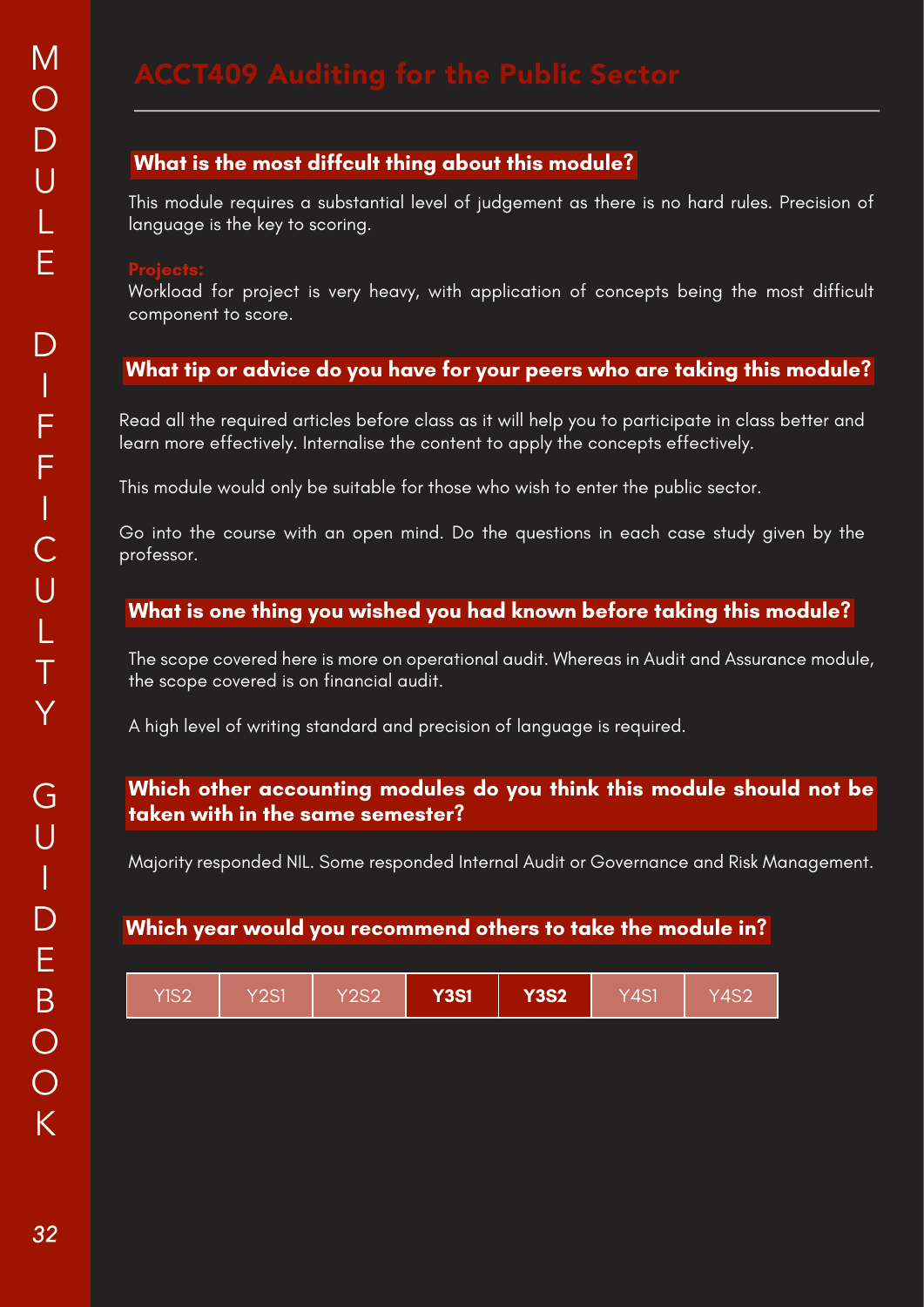This module requires a substantial level of judgement as there is no hard rules. Precision of language is the key to scoring.

Workload for project is very heavy, with application of concepts being the most difficult component to score.

# **What tip or advice do you have for your peers who are taking this module?**

Read all the required articles before class as it will help you to participate in class better and learn more effectively. Internalise the content to apply the concepts effectively.

This module would only be suitable for those who wish to enter the public sector.

Go into the course with an open mind. Do the questions in each case study given by the professor.

### **What is one thing you wished you had known before taking this module?**

The scope covered here is more on operational audit. Whereas in Audit and Assurance module, the scope covered is on financial audit.

A high level of writing standard and precision of language is required.

### **Which other accounting modules do you think this module should not be taken with in the same semester?**

Majority responded NIL. Some responded Internal Audit or Governance and Risk Management.

| YIS2 | Y2S1 | Y2S2 | <b>Y3S1</b> | <b>Y3S2</b> | Y4S1 | Y4S2 |
|------|------|------|-------------|-------------|------|------|
|------|------|------|-------------|-------------|------|------|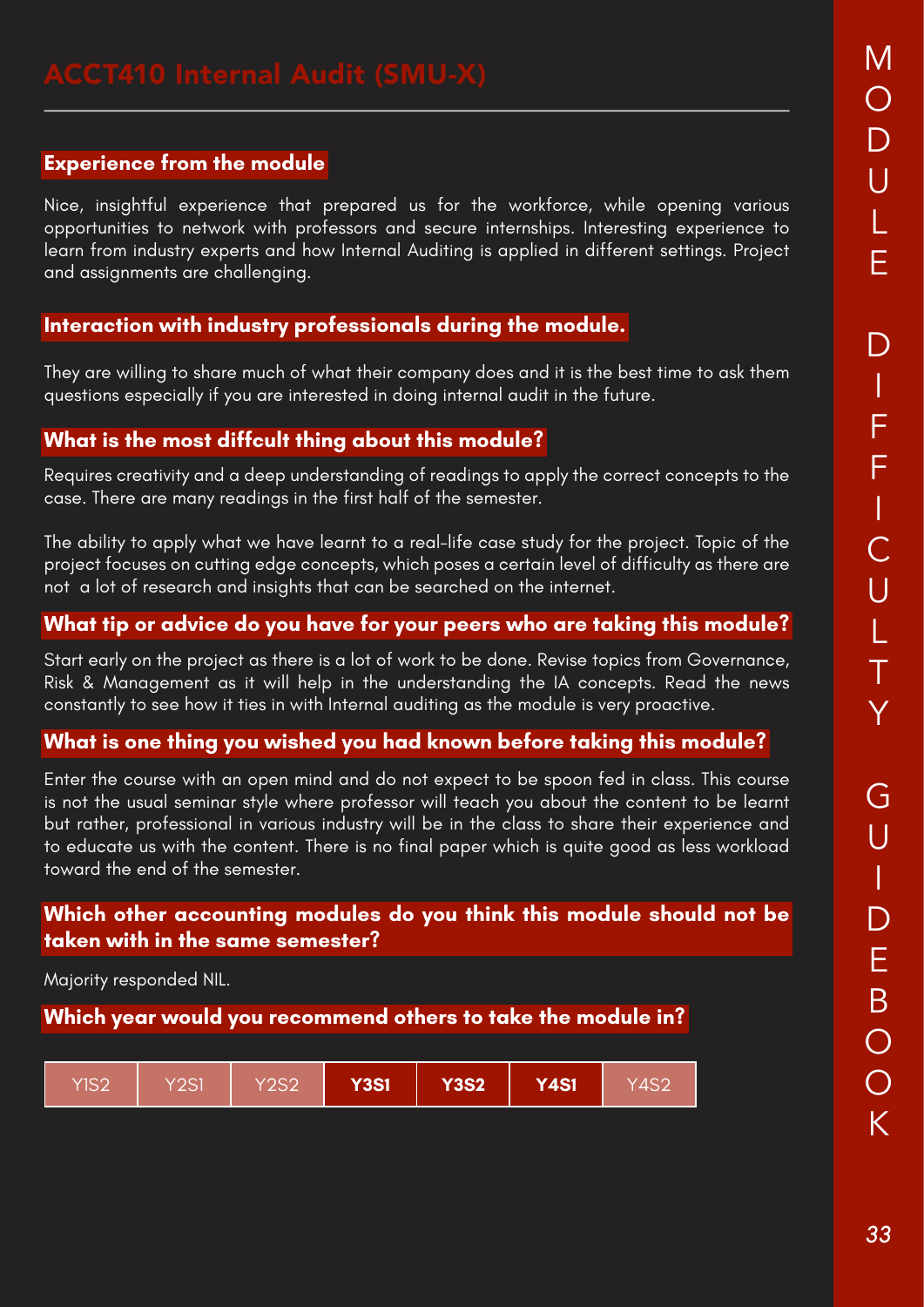### **Experience from the module**

Nice, insightful experience that prepared us for the workforce, while opening various opportunities to network with professors and secure internships. Interesting experience to learn from industry experts and how Internal Auditing is applied in different settings. Project and assignments are challenging.

### **Interaction with industry professionals during the module.**

They are willing to share much of what their company does and it is the best time to ask them questions especially if you are interested in doing internal audit in the future.

### **What is the most diffcult thing about this module?**

Requires creativity and a deep understanding of readings to apply the correct concepts to the case. There are many readings in the first half of the semester.

The ability to apply what we have learnt to a real-life case study for the project. Topic of the project focuses on cutting edge concepts, which poses a certain level of difficulty as there are not a lot of research and insights that can be searched on the internet.

### **What tip or advice do you have for your peers who are taking this module?**

Start early on the project as there is a lot of work to be done. Revise topics from Governance, Risk & Management as it will help in the understanding the IA concepts. Read the news constantly to see how it ties in with Internal auditing as the module is very proactive.

### **What is one thing you wished you had known before taking this module?**

Enter the course with an open mind and do not expect to be spoon fed in class. This course is not the usual seminar style where professor will teach you about the content to be learnt but rather, professional in various industry will be in the class to share their experience and to educate us with the content. There is no final paper which is quite good as less workload toward the end of the semester.

### **Which other accounting modules do you think this module should not be taken with in the same semester?**

Majority responded NIL.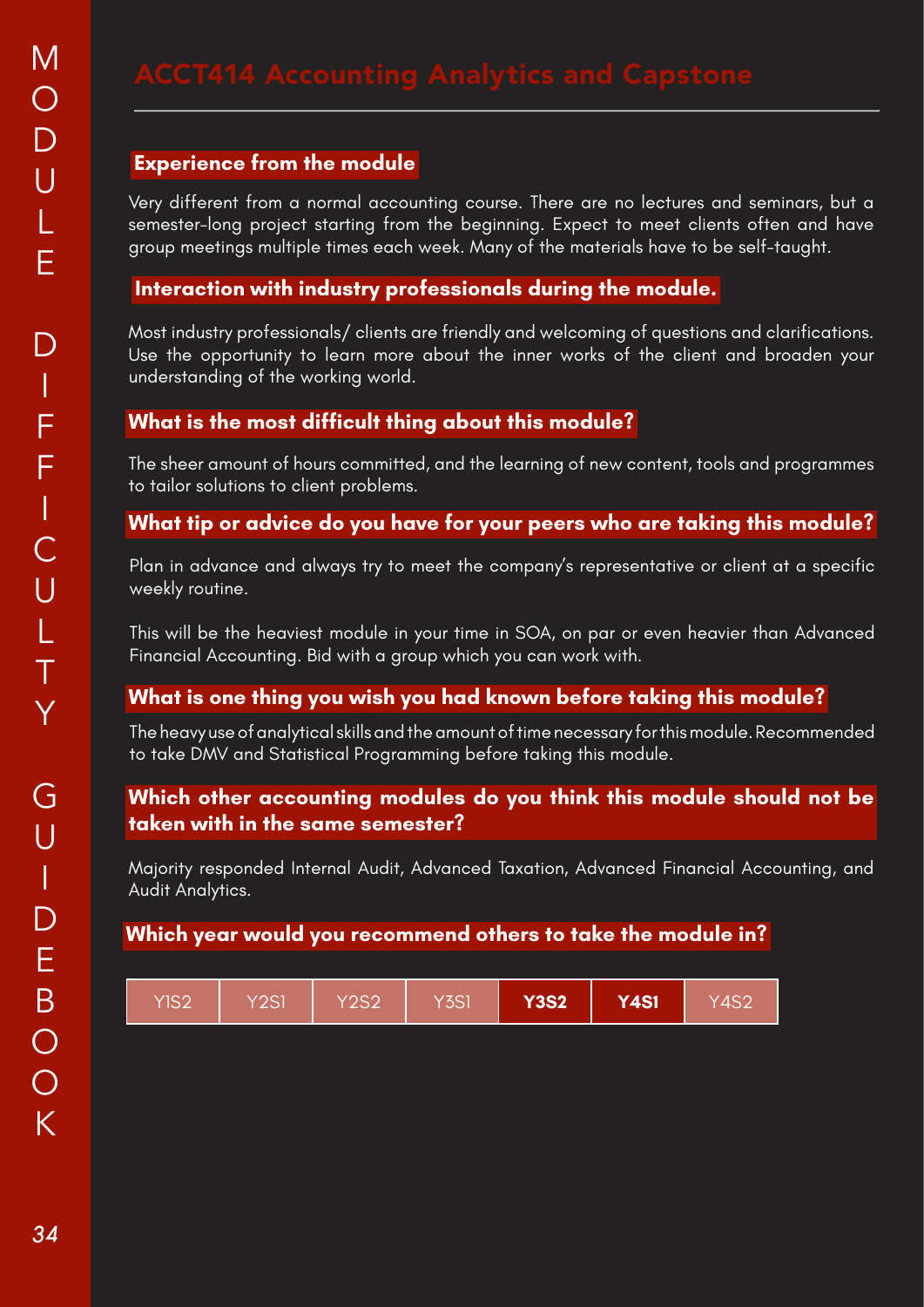### **Experience from the module**

Very different from a normal accounting course. There are no lectures and seminars, but a semester-long project starting from the beginning. Expect to meet clients often and have group meetings multiple times each week. Many of the materials have to be self-taught.

### **Interaction with industry professionals during the module.**

Most industry professionals/ clients are friendly and welcoming of questions and clarifications. Use the opportunity to learn more about the inner works of the client and broaden your understanding of the working world.

### **What is the most difficult thing about this module?**

The sheer amount of hours committed, and the learning of new content, tools and programmes to tailor solutions to client problems.

### **What tip or advice do you have for your peers who are taking this module?**

Plan in advance and always try to meet the company's representative or client at a specific weekly routine.

This will be the heaviest module in your time in SOA, on par or even heavier than Advanced Financial Accounting. Bid with a group which you can work with.

### **What is one thing you wish you had known before taking this module?**

The heavy use of analytical skills and the amount of time necessary for this module. Recommended to take DMV and Statistical Programming before taking this module.

### **Which other accounting modules do you think this module should not be taken with in the same semester?**

Majority responded Internal Audit, Advanced Taxation, Advanced Financial Accounting, and Audit Analytics.

| Y3S2 <sup>1</sup><br>Y2S1<br>Y3S1<br><b>Y4S1</b><br>YIS2<br>Y2S2<br>Y4S2 |  |  |  |  |  |  |  |  |
|--------------------------------------------------------------------------|--|--|--|--|--|--|--|--|
|--------------------------------------------------------------------------|--|--|--|--|--|--|--|--|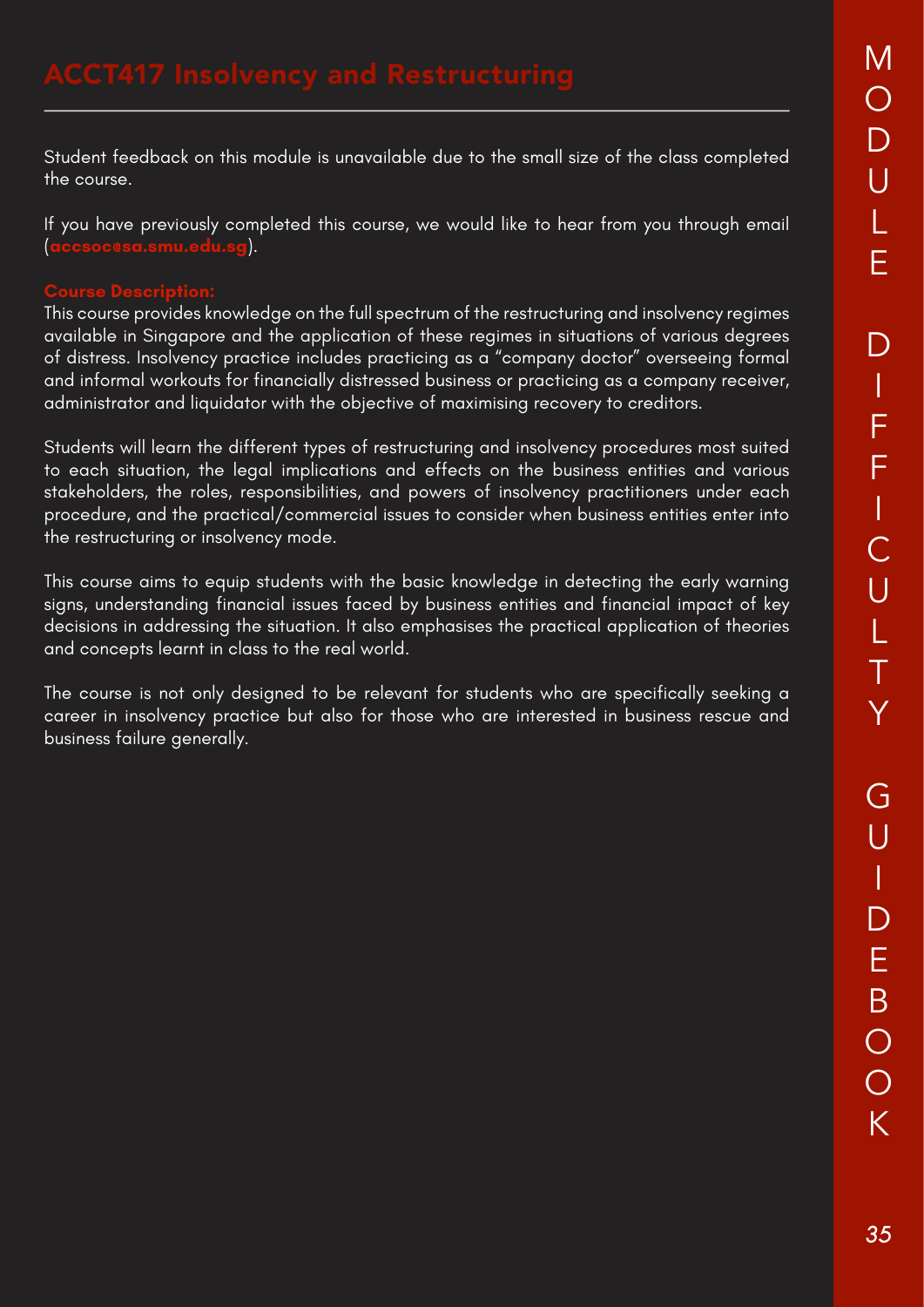Student feedback on this module is unavailable due to the small size of the class completed the course.

If you have previously completed this course, we would like to hear from you through email (**accsoc@sa.smu.edu.sg**).

# **Course Description:**

This course provides knowledge on the full spectrum of the restructuring and insolvency regimes available in Singapore and the application of these regimes in situations of various degrees of distress. Insolvency practice includes practicing as a "company doctor" overseeing formal and informal workouts for financially distressed business or practicing as a company receiver, administrator and liquidator with the objective of maximising recovery to creditors.

Students will learn the different types of restructuring and insolvency procedures most suited to each situation, the legal implications and effects on the business entities and various stakeholders, the roles, responsibilities, and powers of insolvency practitioners under each procedure, and the practical/commercial issues to consider when business entities enter into the restructuring or insolvency mode.

This course aims to equip students with the basic knowledge in detecting the early warning signs, understanding financial issues faced by business entities and financial impact of key decisions in addressing the situation. It also emphasises the practical application of theories and concepts learnt in class to the real world.

The course is not only designed to be relevant for students who are specifically seeking a career in insolvency practice but also for those who are interested in business rescue and business failure generally.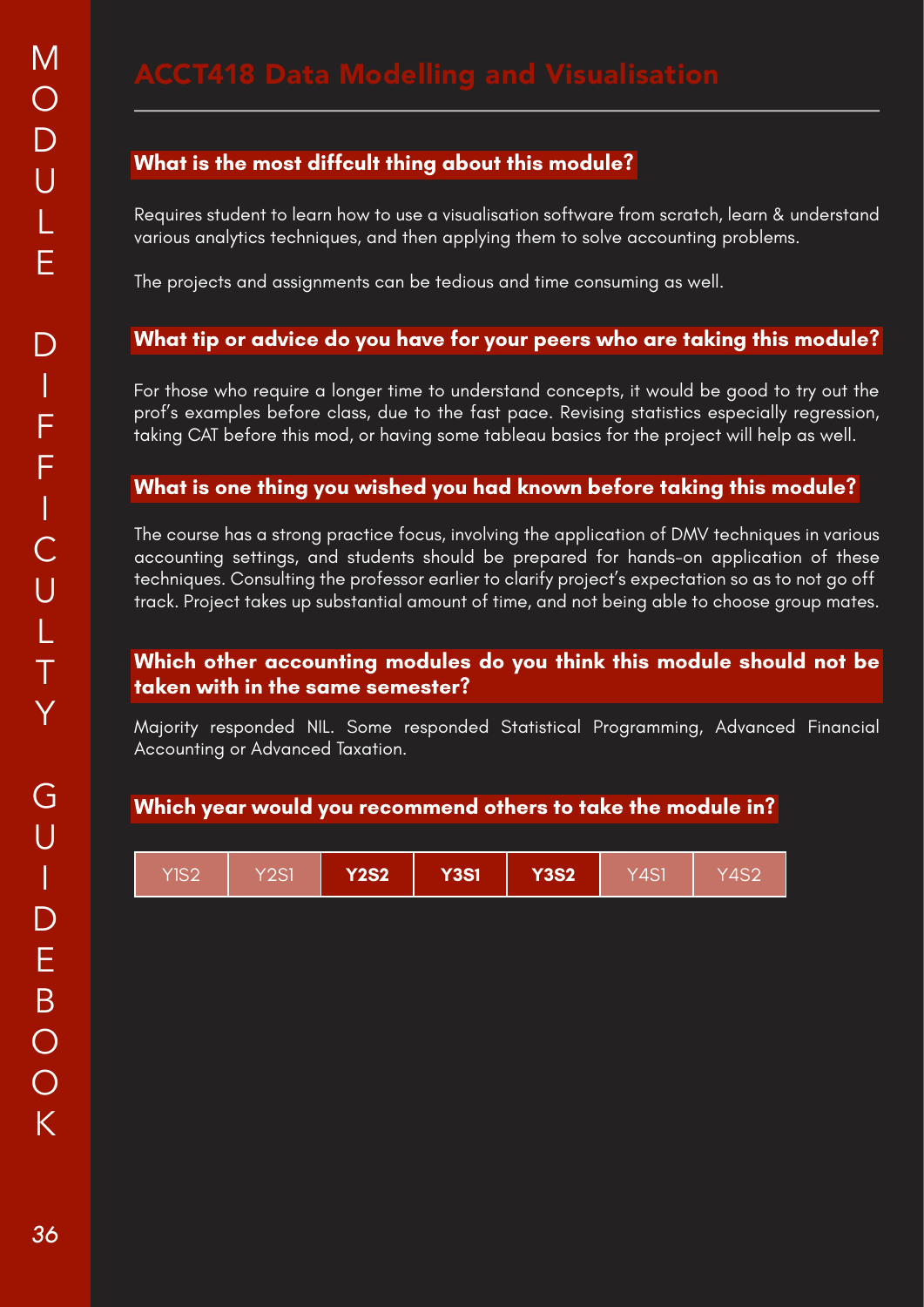Requires student to learn how to use a visualisation software from scratch, learn & understand various analytics techniques, and then applying them to solve accounting problems.

The projects and assignments can be tedious and time consuming as well.

### **What tip or advice do you have for your peers who are taking this module?**

For those who require a longer time to understand concepts, it would be good to try out the prof's examples before class, due to the fast pace. Revising statistics especially regression, taking CAT before this mod, or having some tableau basics for the project will help as well.

### **What is one thing you wished you had known before taking this module?**

The course has a strong practice focus, involving the application of DMV techniques in various accounting settings, and students should be prepared for hands-on application of these techniques. Consulting the professor earlier to clarify project's expectation so as to not go off track. Project takes up substantial amount of time, and not being able to choose group mates.

### **Which other accounting modules do you think this module should not be taken with in the same semester?**

Majority responded NIL. Some responded Statistical Programming, Advanced Financial Accounting or Advanced Taxation.

| YIS2 | Y2S1 | <b>Y2S2</b> | <b>Y3S1</b> | <b>Y3S2</b> | Y4S1 | 74S2 |
|------|------|-------------|-------------|-------------|------|------|
|------|------|-------------|-------------|-------------|------|------|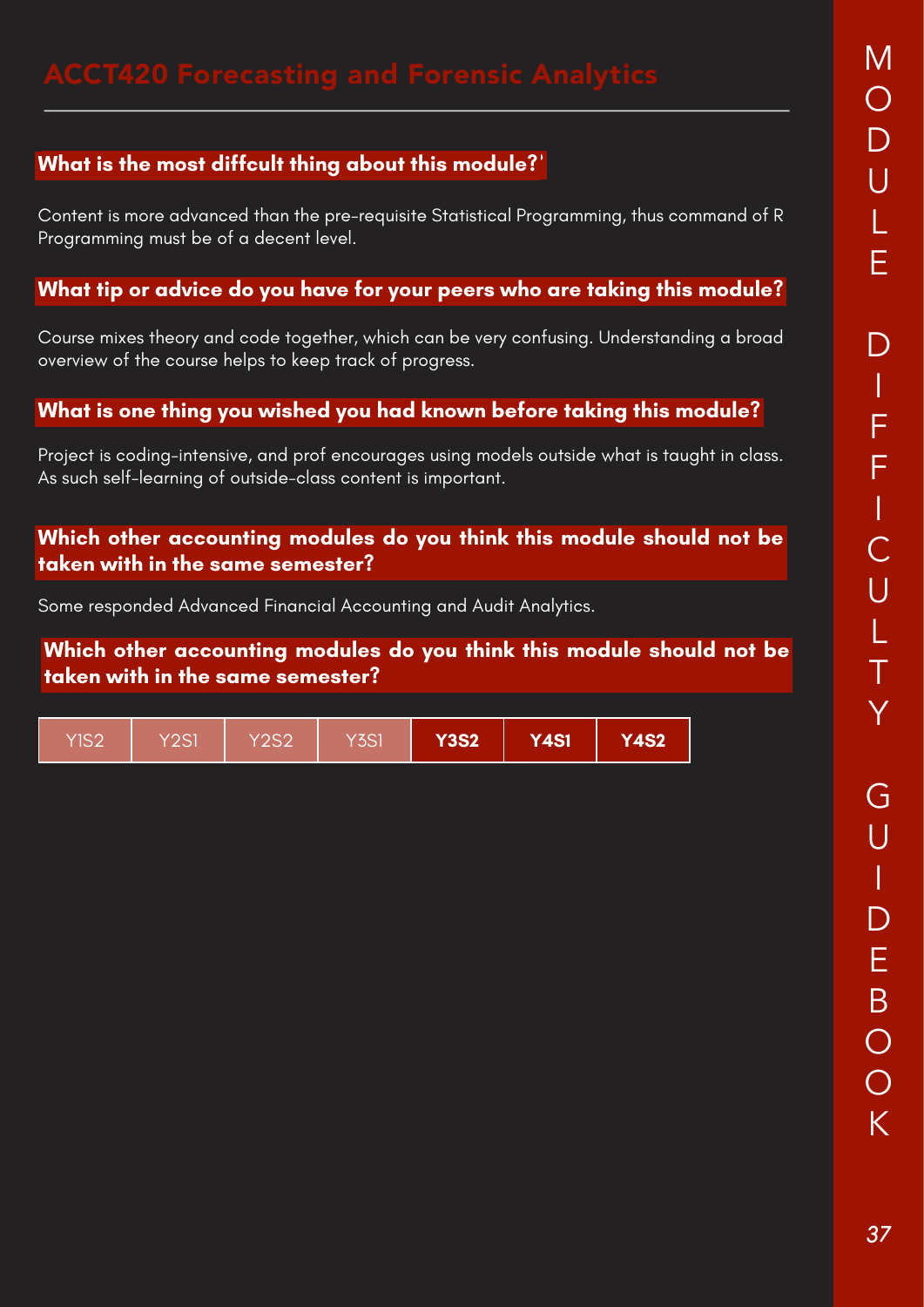# **What is the most diffcult thing about this module? What is the most diffcult thing about this module?**

Content is more advanced than the pre-requisite Statistical Programming, thus command of R Programming must be of a decent level.

### **What tip or advice do you have for your peers who are taking this module?**

Course mixes theory and code together, which can be very confusing. Understanding a broad overview of the course helps to keep track of progress.

### **What is one thing you wished you had known before taking this module?**

Project is coding-intensive, and prof encourages using models outside what is taught in class. As such self-learning of outside-class content is important.

**Which other accounting modules do you think this module should not be taken with in the same semester?**

Some responded Advanced Financial Accounting and Audit Analytics.

**Which other accounting modules do you think this module should not be taken with in the same semester?**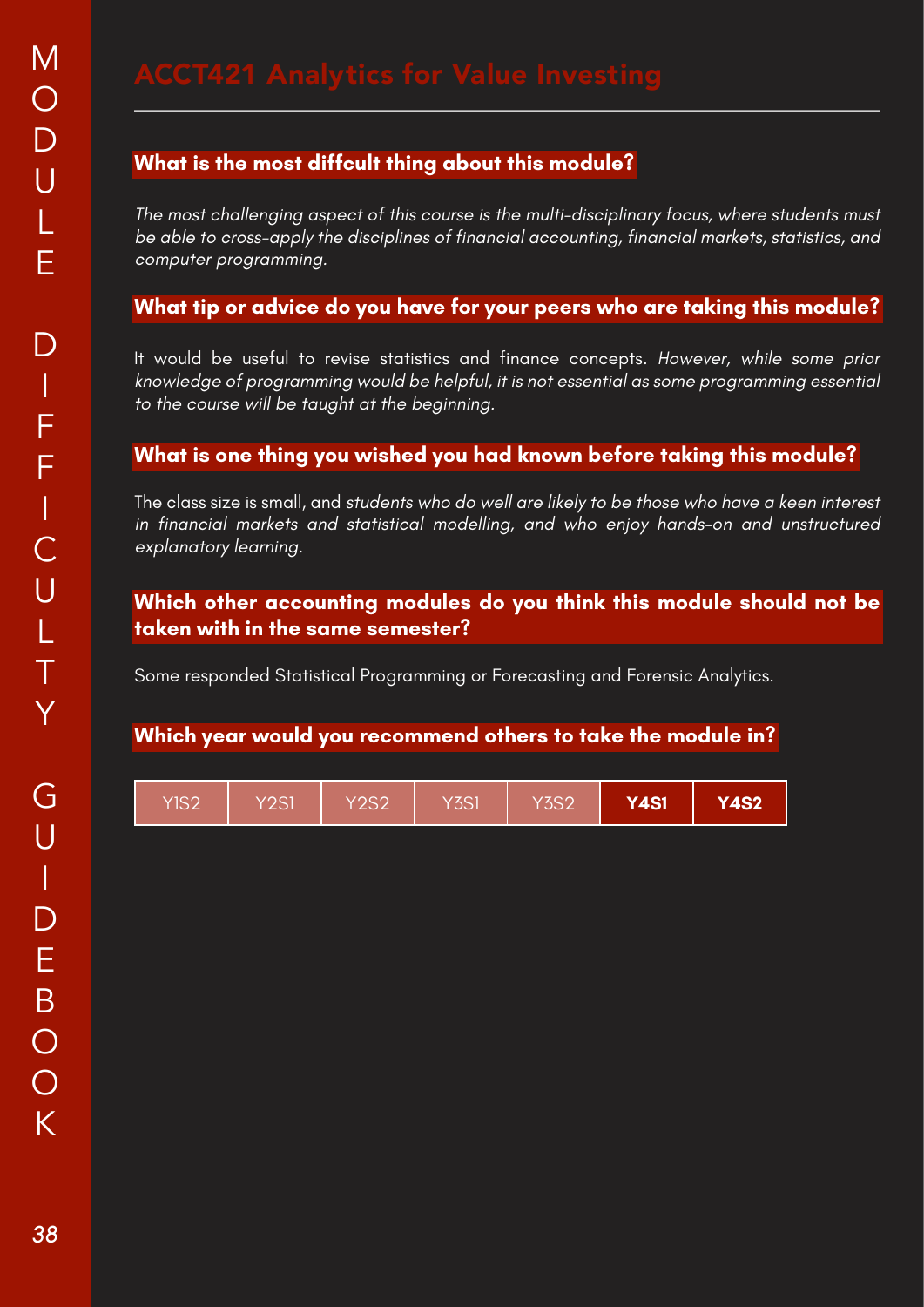The most challenging aspect of this course is the multi-disciplinary focus, where students must be able to cross-apply the disciplines of financial accounting, financial markets, statistics, and computer programming.

### **What tip or advice do you have for your peers who are taking this module?**

It would be useful to revise statistics and finance concepts. However, while some prior knowledge of programming would be helpful, it is not essential as some programming essential to the course will be taught at the beginning.

### **What is one thing you wished you had known before taking this module?**

The class size is small, and students who do well are likely to be those who have a keen interest in financial markets and statistical modelling, and who enjoy hands-on and unstructured explanatory learning.

### **Which other accounting modules do you think this module should not be taken with in the same semester?**

Some responded Statistical Programming or Forecasting and Forensic Analytics.

| YIS2 | Y2S1 | <b>Y2S2</b> | Y <sub>3</sub> S1 | Y3S2 | <b>Y4S1</b> | <b>Y4S2</b> |
|------|------|-------------|-------------------|------|-------------|-------------|
|------|------|-------------|-------------------|------|-------------|-------------|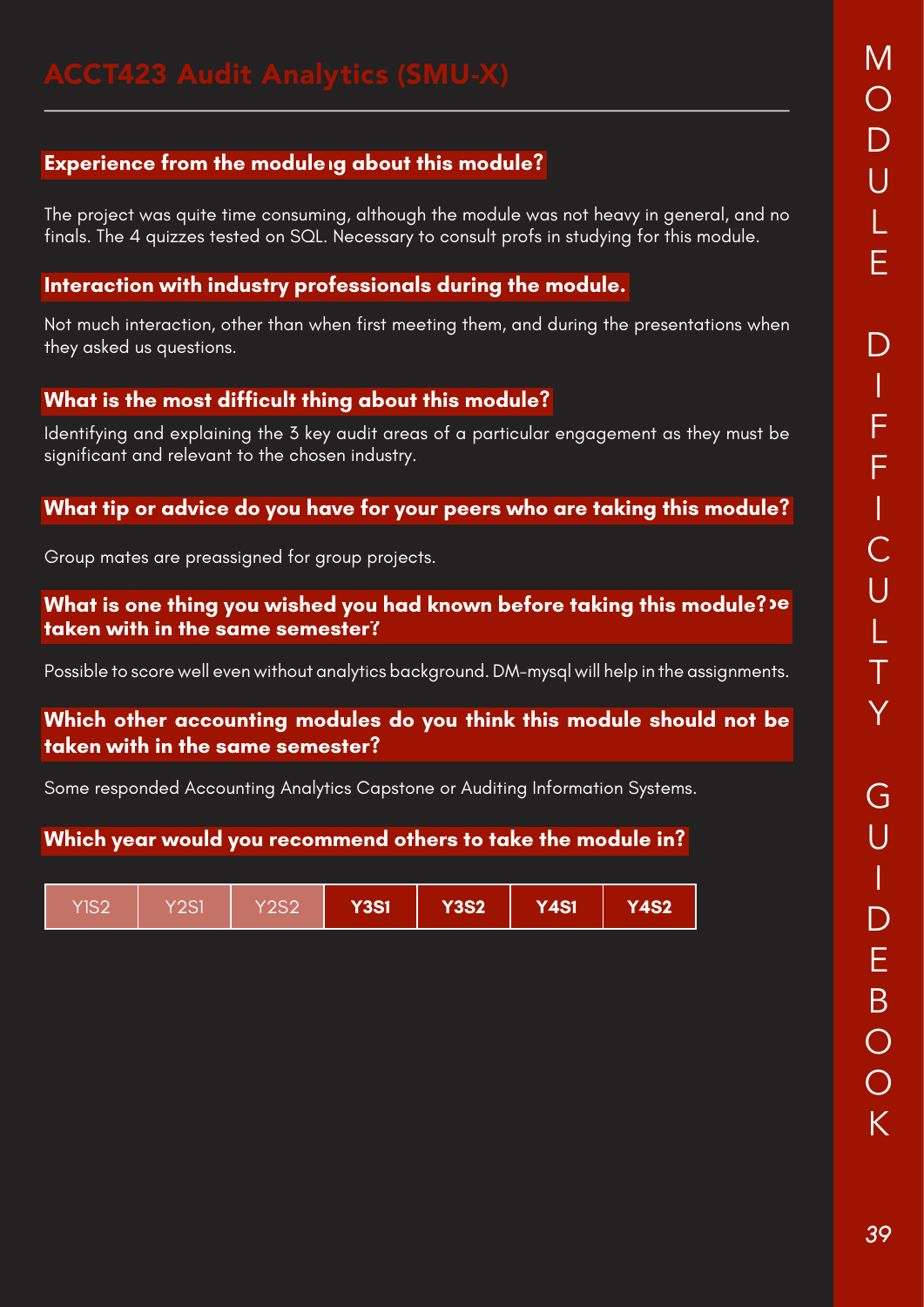# **Experience from the moduleig about this module?**

The project was quite time consuming, although the module was not heavy in general, and no finals. The 4 quizzes tested on SQL. Necessary to consult profs in studying for this module.

# **Interaction with industry professionals during the module.**

Not much interaction, other than when first meeting them, and during the presentations when they asked us questions.

# **What is the most difficult thing about this module?**

Identifying and explaining the 3 key audit areas of a particular engagement as they must be significant and relevant to the chosen industry.

### **What tip or advice do you have for your peers who are taking this module?**

Group mates are preassigned for group projects.

### **What is one thing you wished you had known before taking this module?<sup>,</sup> P taken with in the same semester?**

Possible to score well even without analytics background. DM-mysql will help in the assignments.

### **Which other accounting modules do you think this module should not be taken with in the same semester?**

Some responded Accounting Analytics Capstone or Auditing Information Systems.

| YIS2 | Y2S1 | Y2S2 | <b>Y3S1</b> | $\overline{\mathsf{Y3S2}}^\dagger$ | <b>Y4S1</b> | <b>Y4S2</b> |
|------|------|------|-------------|------------------------------------|-------------|-------------|
|------|------|------|-------------|------------------------------------|-------------|-------------|